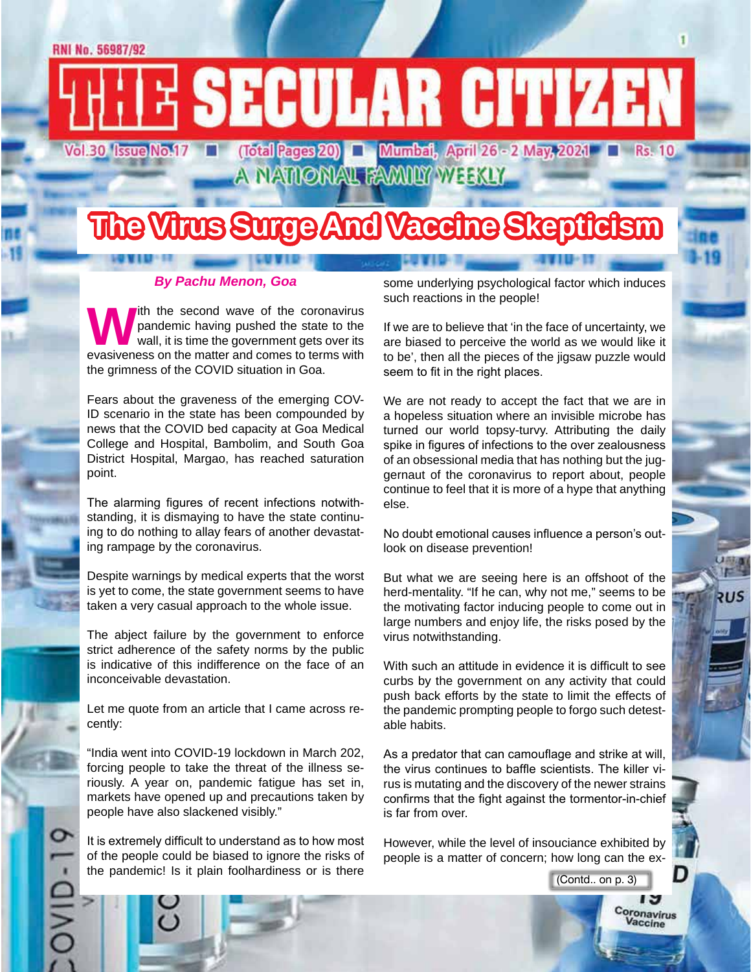# E SECULAR CITIZEN Vol.30 Issue No.17

**(Total Pages 20) | Mumbai, April 26 - 2 May, 2021 | Rs. 10<br>A NATIONAL FAMILY WEEKLY** 

# **The Virus Surge And Vaccine Skepticism**

#### *By Pachu Menon, Goa*

With the second wave of the coronavirus<br>pandemic having pushed the state to the<br>wall, it is time the government gets over its<br>evasiveness on the matter and comes to terms with pandemic having pushed the state to the wall, it is time the government gets over its evasiveness on the matter and comes to terms with the grimness of the COVID situation in Goa.

Fears about the graveness of the emerging COV-ID scenario in the state has been compounded by news that the COVID bed capacity at Goa Medical College and Hospital, Bambolim, and South Goa District Hospital, Margao, has reached saturation point.

The alarming figures of recent infections notwithstanding, it is dismaying to have the state continuing to do nothing to allay fears of another devastating rampage by the coronavirus.

Despite warnings by medical experts that the worst is yet to come, the state government seems to have taken a very casual approach to the whole issue.

The abject failure by the government to enforce strict adherence of the safety norms by the public is indicative of this indifference on the face of an inconceivable devastation.

Let me quote from an article that I came across recently:

"India went into COVID-19 lockdown in March 202, forcing people to take the threat of the illness seriously. A year on, pandemic fatigue has set in, markets have opened up and precautions taken by people have also slackened visibly."

It is extremely difficult to understand as to how most of the people could be biased to ignore the risks of the pandemic! Is it plain foolhardiness or is there

some underlying psychological factor which induces such reactions in the people!

If we are to believe that 'in the face of uncertainty, we are biased to perceive the world as we would like it to be', then all the pieces of the jigsaw puzzle would seem to fit in the right places.

We are not ready to accept the fact that we are in a hopeless situation where an invisible microbe has turned our world topsy-turvy. Attributing the daily spike in figures of infections to the over zealousness of an obsessional media that has nothing but the juggernaut of the coronavirus to report about, people continue to feel that it is more of a hype that anything else.

No doubt emotional causes influence a person's outlook on disease prevention!

But what we are seeing here is an offshoot of the herd-mentality. "If he can, why not me," seems to be the motivating factor inducing people to come out in large numbers and enjoy life, the risks posed by the virus notwithstanding.

With such an attitude in evidence it is difficult to see curbs by the government on any activity that could push back efforts by the state to limit the effects of the pandemic prompting people to forgo such detestable habits.

As a predator that can camouflage and strike at will, the virus continues to baffle scientists. The killer virus is mutating and the discovery of the newer strains confirms that the fight against the tormentor-in-chief is far from over.

However, while the level of insouciance exhibited by people is a matter of concern; how long can the ex-

(Contd.. on p. 3)

D

د ا Coronavirus Vaccine

จบร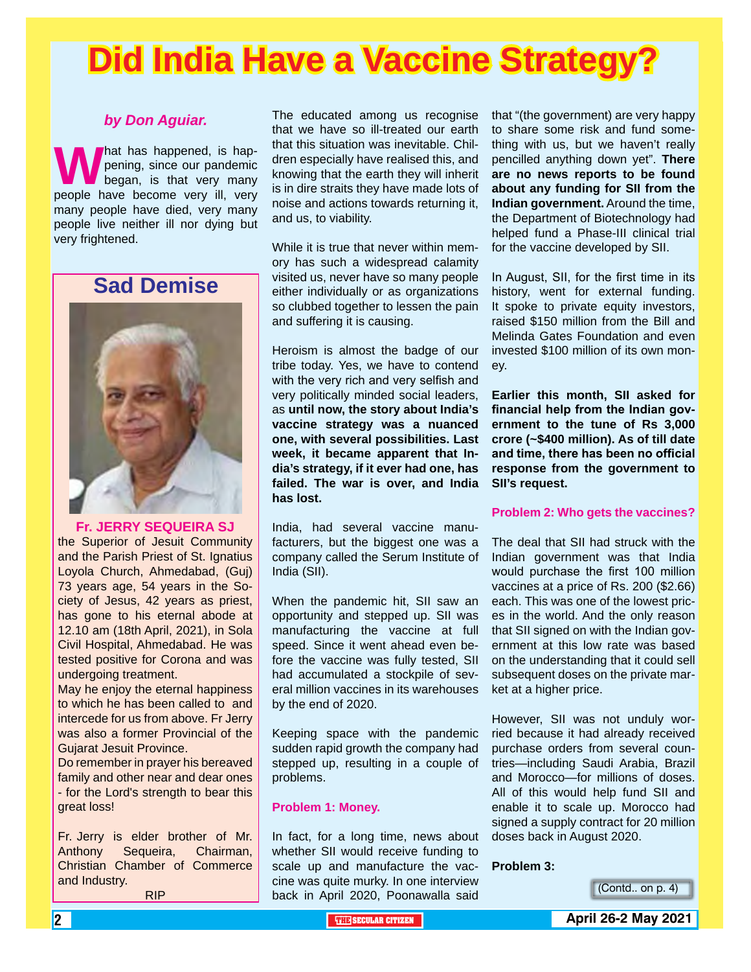# **Did India Have a Vaccine Strategy?**

#### *by Don Aguiar.*

**W** hat has happened, is hap-<br>people have become very ill, very pening, since our pandemic began, is that very many many people have died, very many people live neither ill nor dying but very frightened.

### **Sad Demise**



#### **Fr. JERRY SEQUEIRA SJ**

the Superior of Jesuit Community and the Parish Priest of St. Ignatius Loyola Church, Ahmedabad, (Guj) 73 years age, 54 years in the Society of Jesus, 42 years as priest, has gone to his eternal abode at 12.10 am (18th April, 2021), in Sola Civil Hospital, Ahmedabad. He was tested positive for Corona and was undergoing treatment.

May he enjoy the eternal happiness to which he has been called to and intercede for us from above. Fr Jerry was also a former Provincial of the Gujarat Jesuit Province.

Do remember in prayer his bereaved family and other near and dear ones - for the Lord's strength to bear this great loss!

Fr. Jerry is elder brother of Mr. Anthony Sequeira, Chairman, Christian Chamber of Commerce and Industry.

RIP

The educated among us recognise that we have so ill-treated our earth that this situation was inevitable. Children especially have realised this, and knowing that the earth they will inherit is in dire straits they have made lots of noise and actions towards returning it, and us, to viability.

While it is true that never within memory has such a widespread calamity visited us, never have so many people either individually or as organizations so clubbed together to lessen the pain and suffering it is causing.

Heroism is almost the badge of our tribe today. Yes, we have to contend with the very rich and very selfish and very politically minded social leaders, as **until now, the story about India's vaccine strategy was a nuanced one, with several possibilities. Last week, it became apparent that India's strategy, if it ever had one, has failed. The war is over, and India has lost.**

India, had several vaccine manufacturers, but the biggest one was a company called the Serum Institute of India (SII).

When the pandemic hit, SII saw an opportunity and stepped up. SII was manufacturing the vaccine at full speed. Since it went ahead even before the vaccine was fully tested, SII had accumulated a stockpile of several million vaccines in its warehouses by the end of 2020.

Keeping space with the pandemic sudden rapid growth the company had stepped up, resulting in a couple of problems.

#### **Problem 1: Money.**

In fact, for a long time, news about whether SII would receive funding to scale up and manufacture the vaccine was quite murky. In one interview back in April 2020, Poonawalla said

that "(the government) are very happy to share some risk and fund something with us, but we haven't really pencilled anything down yet". **There are no news reports to be found about any funding for SII from the Indian government.** Around the time, the Department of Biotechnology had helped fund a Phase-III clinical trial for the vaccine developed by SII.

In August, SII, for the first time in its history, went for external funding. It spoke to private equity investors, raised \$150 million from the Bill and Melinda Gates Foundation and even invested \$100 million of its own money.

**Earlier this month, SII asked for financial help from the Indian government to the tune of Rs 3,000 crore (~\$400 million). As of till date and time, there has been no official response from the government to SII's request.**

#### **Problem 2: Who gets the vaccines?**

The deal that SII had struck with the Indian government was that India would purchase the first 100 million vaccines at a price of Rs. 200 (\$2.66) each. This was one of the lowest prices in the world. And the only reason that SII signed on with the Indian government at this low rate was based on the understanding that it could sell subsequent doses on the private market at a higher price.

However, SII was not unduly worried because it had already received purchase orders from several countries—including Saudi Arabia, Brazil and Morocco—for millions of doses. All of this would help fund SII and enable it to scale up. Morocco had signed a supply contract for 20 million doses back in August 2020.

#### **Problem 3:**

(Contd.. on p. 4)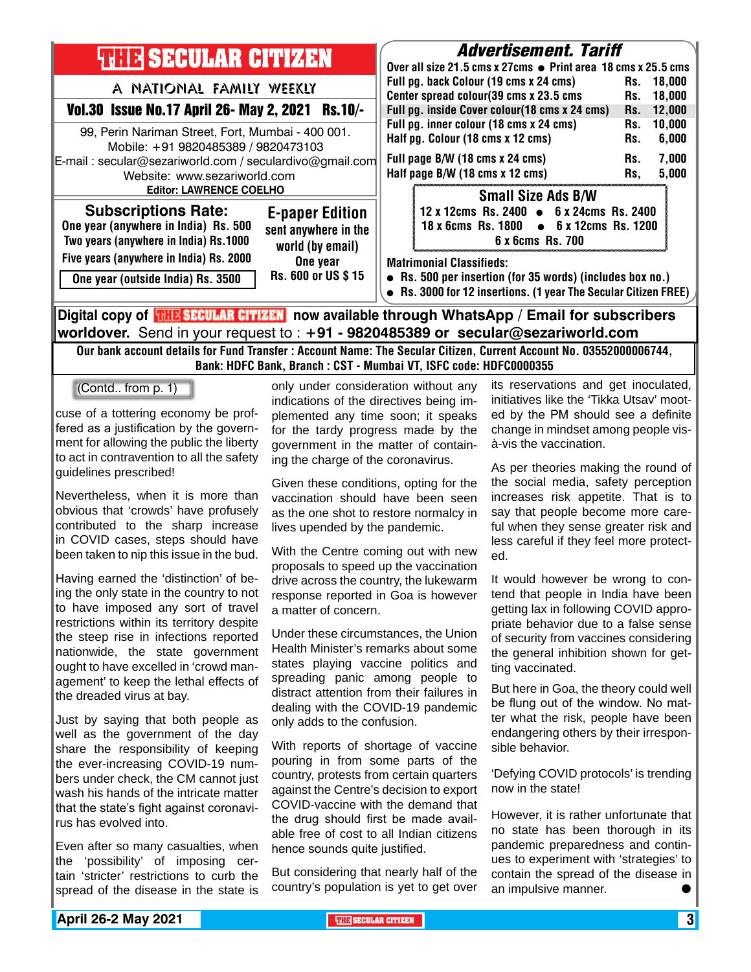| <b>THE SECULAR CITIZEN</b>                                                                                                                                                                                                                                                                            | <b>Advertisement. Tariff</b><br>Over all size 21.5 cms x 27cms ● Print area 18 cms x 25.5 cms                                                                                                                                                                                                                                                                                                                                            |  |  |
|-------------------------------------------------------------------------------------------------------------------------------------------------------------------------------------------------------------------------------------------------------------------------------------------------------|------------------------------------------------------------------------------------------------------------------------------------------------------------------------------------------------------------------------------------------------------------------------------------------------------------------------------------------------------------------------------------------------------------------------------------------|--|--|
| A NATIONAL FAMILY WEEKLY<br>Vol.30 Issue No.17 April 26- May 2, 2021 Rs.10/-<br>99, Perin Nariman Street, Fort, Mumbai - 400 001.<br>Mobile: +91 9820485389 / 9820473103<br>E-mail: secular@sezariworld.com / seculardivo@gmail.com<br>Website: www.sezariworld.com<br><b>Editor: LAWRENCE COELHO</b> | Full pg. back Colour (19 cms x 24 cms)<br>Rs.<br>18.000<br>Center spread colour(39 cms x 23.5 cms<br>18,000<br>Rs.<br>Full pg. inside Cover colour(18 cms x 24 cms)<br>12,000<br>Rs.<br>Full pg. inner colour (18 cms x 24 cms)<br>10,000<br>Rs.<br>Half pg. Colour (18 cms x 12 cms)<br>6,000<br>Rs.<br>Full page B/W (18 cms x 24 cms)<br>7,000<br>Rs.<br>Half page B/W (18 cms x 12 cms)<br>5,000<br>Rs,<br><b>Small Size Ads B/W</b> |  |  |
| <b>Subscriptions Rate:</b><br><b>E-paper Edition</b><br>One year (anywhere in India) Rs. 500<br>sent anywhere in the<br>Two years (anywhere in India) Rs.1000<br>world (by email)                                                                                                                     | 12 x 12cms Rs. 2400 • 6 x 24cms Rs. 2400<br>$\bullet$ 6 x 12cms Rs. 1200<br><b>18 x 6cms Rs. 1800</b><br>6 x 6cms Rs. 700                                                                                                                                                                                                                                                                                                                |  |  |
| Five years (anywhere in India) Rs. 2000<br>One year<br>Rs. 600 or US \$15<br>One year (outside India) Rs. 3500                                                                                                                                                                                        | <b>Matrimonial Classifieds:</b><br>• Rs. 500 per insertion (for 35 words) (includes box no.)<br>Rs. 3000 for 12 insertions. (1 year The Secular Citizen FREE)                                                                                                                                                                                                                                                                            |  |  |
| Digital copy of <b>THE SECULAR CITIZEN</b> now available through WhatsApp / Email for subscribers                                                                                                                                                                                                     |                                                                                                                                                                                                                                                                                                                                                                                                                                          |  |  |

**worldover.** Send in your request to : **+91 - 9820485389 or secular@sezariworld.com**

Our bank account details for Fund Transfer : Account Name: The Secular Citizen, Current Account No. 03552000006744, Bank: HDFC Bank, Branch : CST - Mumbai VT, ISFC code: HDFC0000355

(Contd.. from p. 1)

cuse of a tottering economy be proffered as a justification by the government for allowing the public the liberty to act in contravention to all the safety guidelines prescribed!

Nevertheless, when it is more than obvious that 'crowds' have profusely contributed to the sharp increase in COVID cases, steps should have been taken to nip this issue in the bud.

Having earned the 'distinction' of being the only state in the country to not to have imposed any sort of travel restrictions within its territory despite the steep rise in infections reported nationwide, the state government ought to have excelled in 'crowd management' to keep the lethal effects of the dreaded virus at bay.

Just by saying that both people as well as the government of the day share the responsibility of keeping the ever-increasing COVID-19 numbers under check, the CM cannot just wash his hands of the intricate matter that the state's fight against coronavirus has evolved into.

Even after so many casualties, when the 'possibility' of imposing certain 'stricter' restrictions to curb the spread of the disease in the state is

only under consideration without any indications of the directives being implemented any time soon; it speaks for the tardy progress made by the government in the matter of containing the charge of the coronavirus.

Given these conditions, opting for the vaccination should have been seen as the one shot to restore normalcy in lives upended by the pandemic.

With the Centre coming out with new proposals to speed up the vaccination drive across the country, the lukewarm response reported in Goa is however a matter of concern.

Under these circumstances, the Union Health Minister's remarks about some states playing vaccine politics and spreading panic among people to distract attention from their failures in dealing with the COVID-19 pandemic only adds to the confusion.

With reports of shortage of vaccine pouring in from some parts of the country, protests from certain quarters against the Centre's decision to export COVID-vaccine with the demand that the drug should first be made available free of cost to all Indian citizens hence sounds quite justified.

But considering that nearly half of the country's population is yet to get over its reservations and get inoculated, initiatives like the 'Tikka Utsav' mooted by the PM should see a definite change in mindset among people visà-vis the vaccination.

As per theories making the round of the social media, safety perception increases risk appetite. That is to say that people become more careful when they sense greater risk and less careful if they feel more protected.

It would however be wrong to contend that people in India have been getting lax in following COVID appropriate behavior due to a false sense of security from vaccines considering the general inhibition shown for getting vaccinated.

But here in Goa, the theory could well be flung out of the window. No matter what the risk, people have been endangering others by their irresponsible behavior.

'Defying COVID protocols' is trending now in the state!

However, it is rather unfortunate that no state has been thorough in its pandemic preparedness and continues to experiment with 'strategies' to contain the spread of the disease in an impulsive manner.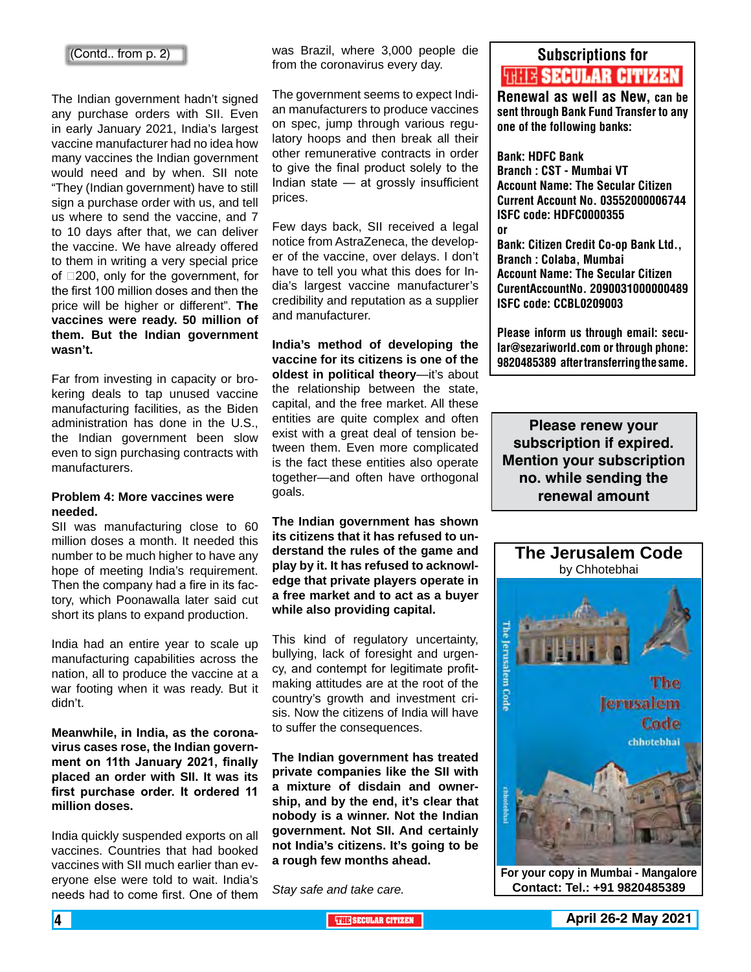#### (Contd.. from p. 2)

The Indian government hadn't signed any purchase orders with SII. Even in early January 2021, India's largest vaccine manufacturer had no idea how many vaccines the Indian government would need and by when. SII note "They (Indian government) have to still sign a purchase order with us, and tell us where to send the vaccine, and 7 to 10 days after that, we can deliver the vaccine. We have already offered to them in writing a very special price of  $\square$ 200, only for the government, for the first 100 million doses and then the price will be higher or different". **The vaccines were ready. 50 million of them. But the Indian government wasn't.**

Far from investing in capacity or brokering deals to tap unused vaccine manufacturing facilities, as the Biden administration has done in the U.S., the Indian government been slow even to sign purchasing contracts with manufacturers.

#### **Problem 4: More vaccines were needed.**

SII was manufacturing close to 60 million doses a month. It needed this number to be much higher to have any hope of meeting India's requirement. Then the company had a fire in its factory, which Poonawalla later said cut short its plans to expand production.

India had an entire year to scale up manufacturing capabilities across the nation, all to produce the vaccine at a war footing when it was ready. But it didn't.

**Meanwhile, in India, as the coronavirus cases rose, the Indian government on 11th January 2021, finally placed an order with SII. It was its first purchase order. It ordered 11 million doses.**

India quickly suspended exports on all vaccines. Countries that had booked vaccines with SII much earlier than everyone else were told to wait. India's needs had to come first. One of them

was Brazil, where 3,000 people die from the coronavirus every day.

The government seems to expect Indian manufacturers to produce vaccines on spec, jump through various regulatory hoops and then break all their other remunerative contracts in order to give the final product solely to the Indian state — at grossly insufficient prices.

Few days back, SII received a legal notice from AstraZeneca, the developer of the vaccine, over delays. I don't have to tell you what this does for India's largest vaccine manufacturer's credibility and reputation as a supplier and manufacturer.

**India's method of developing the vaccine for its citizens is one of the oldest in political theory**—it's about the relationship between the state, capital, and the free market. All these entities are quite complex and often exist with a great deal of tension between them. Even more complicated is the fact these entities also operate together—and often have orthogonal goals.

**The Indian government has shown its citizens that it has refused to understand the rules of the game and play by it. It has refused to acknowledge that private players operate in a free market and to act as a buyer while also providing capital.**

This kind of regulatory uncertainty, bullying, lack of foresight and urgency, and contempt for legitimate profitmaking attitudes are at the root of the country's growth and investment crisis. Now the citizens of India will have to suffer the consequences.

**The Indian government has treated private companies like the SII with a mixture of disdain and ownership, and by the end, it's clear that nobody is a winner. Not the Indian government. Not SII. And certainly not India's citizens. It's going to be a rough few months ahead.**

*Stay safe and take care.*

### Subscriptions for **THIE SECULAR CITIZEN**<br>Renewal as well as New, can be

sent through Bank Fund Transfer to any one of the following banks:

#### Bank: HDFC Bank

Branch : CST - Mumbai VT Account Name: The Secular Citizen Current Account No. 03552000006744 ISFC code: HDFC0000355 or Bank: Citizen Credit Co-op Bank Ltd., Branch : Colaba, Mumbai Account Name: The Secular Citizen CurentAccountNo. 2090031000000489 ISFC code: CCBL0209003

Please inform us through email: secular@sezariworld.com or through phone: 9820485389 after transferring the same.

**Please renew your subscription if expired. Mention your subscription no. while sending the renewal amount**



**For your copy in Mumbai - Mangalore Contact: Tel.: +91 9820485389**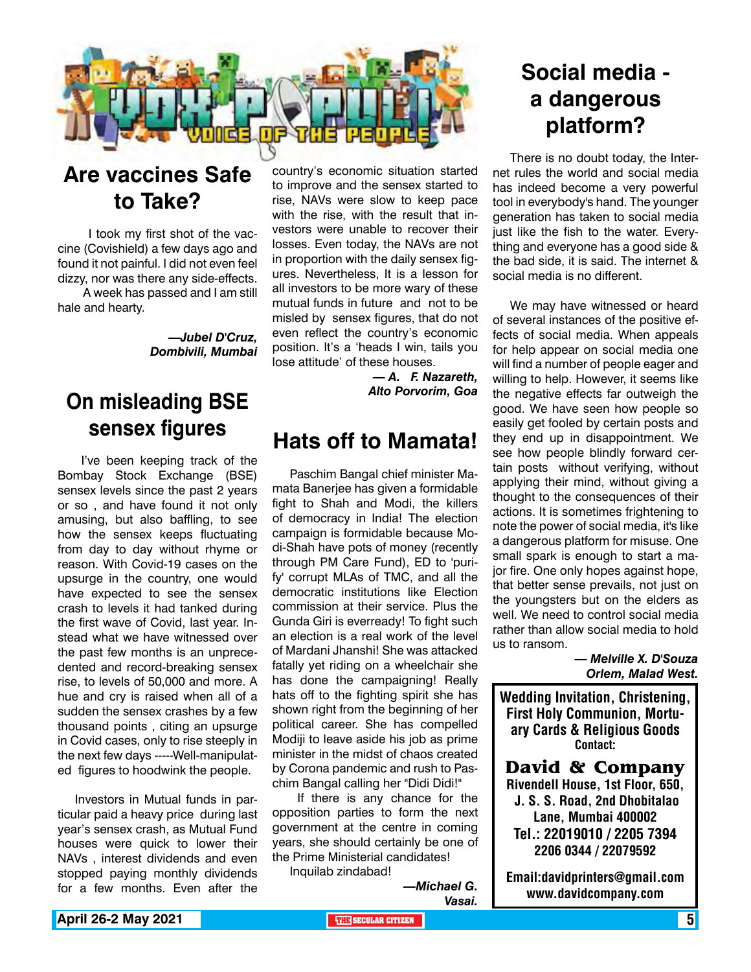

### **Are vaccines Safe to Take?**

 I took my first shot of the vaccine (Covishield) a few days ago and found it not painful. I did not even feel dizzy, nor was there any side-effects.

 A week has passed and I am still hale and hearty.

> *—Jubel D'Cruz, Dombivili, Mumbai*

### **On misleading BSE sensex figures**

 I've been keeping track of the Bombay Stock Exchange (BSE) sensex levels since the past 2 years or so , and have found it not only amusing, but also baffling, to see how the sensex keeps fluctuating from day to day without rhyme or reason. With Covid-19 cases on the upsurge in the country, one would have expected to see the sensex crash to levels it had tanked during the first wave of Covid, last year. Instead what we have witnessed over the past few months is an unprecedented and record-breaking sensex rise, to levels of 50,000 and more. A hue and cry is raised when all of a sudden the sensex crashes by a few thousand points , citing an upsurge in Covid cases, only to rise steeply in the next few days -----Well-manipulated figures to hoodwink the people.

Investors in Mutual funds in particular paid a heavy price during last year's sensex crash, as Mutual Fund houses were quick to lower their NAVs , interest dividends and even stopped paying monthly dividends for a few months. Even after the

country's economic situation started to improve and the sensex started to rise, NAVs were slow to keep pace with the rise, with the result that investors were unable to recover their losses. Even today, the NAVs are not in proportion with the daily sensex figures. Nevertheless, It is a lesson for all investors to be more wary of these mutual funds in future and not to be misled by sensex figures, that do not even reflect the country's economic position. It's a 'heads I win, tails you lose attitude' of these houses.

> *— A. F. Nazareth, Alto Porvorim, Goa*

### **Hats off to Mamata!**

Paschim Bangal chief minister Mamata Banerjee has given a formidable fight to Shah and Modi, the killers of democracy in India! The election campaign is formidable because Modi-Shah have pots of money (recently through PM Care Fund), ED to 'purify' corrupt MLAs of TMC, and all the democratic institutions like Election commission at their service. Plus the Gunda Giri is everready! To fight such an election is a real work of the level of Mardani Jhanshi! She was attacked fatally yet riding on a wheelchair she has done the campaigning! Really hats off to the fighting spirit she has shown right from the beginning of her political career. She has compelled Modiji to leave aside his job as prime minister in the midst of chaos created by Corona pandemic and rush to Paschim Bangal calling her "Didi Didi!"

 If there is any chance for the opposition parties to form the next government at the centre in coming years, she should certainly be one of the Prime Ministerial candidates!

Inquilab zindabad!

*—Michael G. Vasai.*

### **Social media a dangerous platform?**

There is no doubt today, the Internet rules the world and social media has indeed become a very powerful tool in everybody's hand. The younger generation has taken to social media just like the fish to the water. Everything and everyone has a good side & the bad side, it is said. The internet & social media is no different.

We may have witnessed or heard of several instances of the positive effects of social media. When appeals for help appear on social media one will find a number of people eager and willing to help. However, it seems like the negative effects far outweigh the good. We have seen how people so easily get fooled by certain posts and they end up in disappointment. We see how people blindly forward certain posts without verifying, without applying their mind, without giving a thought to the consequences of their actions. It is sometimes frightening to note the power of social media, it's like a dangerous platform for misuse. One small spark is enough to start a major fire. One only hopes against hope, that better sense prevails, not just on the youngsters but on the elders as well. We need to control social media rather than allow social media to hold us to ransom.

> *— Melville X. D'Souza Orlem, Malad West.*

Wedding Invitation, Christening, First Holy Communion, Mortuary Cards & Religious Goods Contact:

**David & Company** Rivendell House, 1st Floor, 650, J. S. S. Road, 2nd Dhobitalao Lane, Mumbai 400002 Tel.: 22019010 / 2205 7394 2206 0344 / 22079592

Email:davidprinters@gmail.com www.davidcompany.com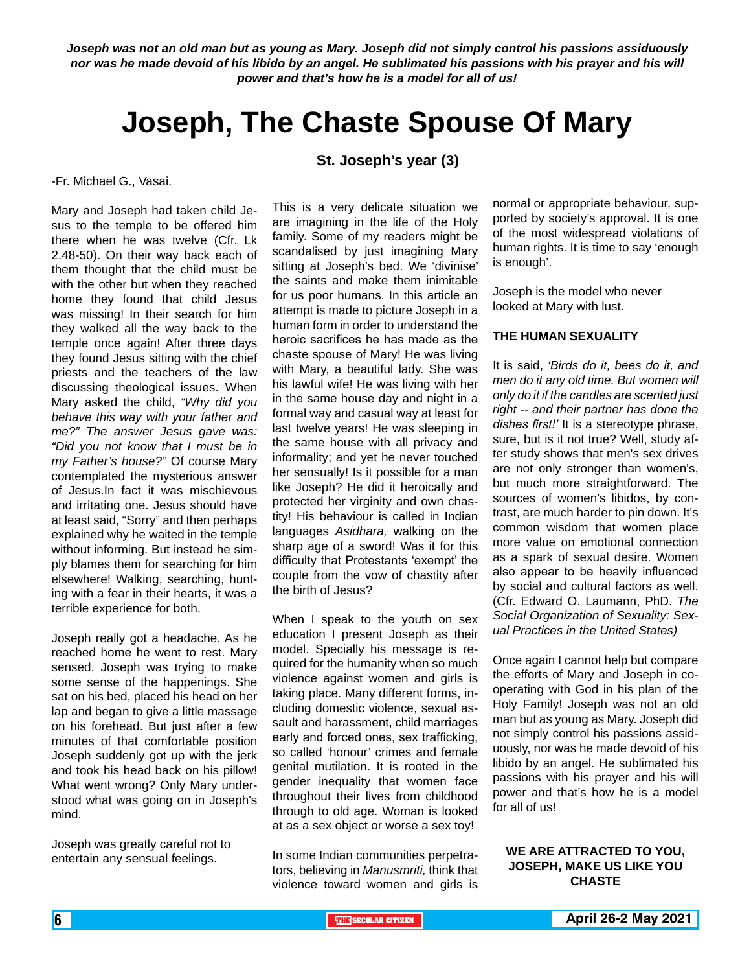*Joseph was not an old man but as young as Mary. Joseph did not simply control his passions assiduously nor was he made devoid of his libido by an angel. He sublimated his passions with his prayer and his will power and that's how he is a model for all of us!* 

### **Joseph, The Chaste Spouse Of Mary**

**St. Joseph's year (3)**

-Fr. Michael G., Vasai.

Mary and Joseph had taken child Jesus to the temple to be offered him there when he was twelve (Cfr. Lk 2.48-50). On their way back each of them thought that the child must be with the other but when they reached home they found that child Jesus was missing! In their search for him they walked all the way back to the temple once again! After three days they found Jesus sitting with the chief priests and the teachers of the law discussing theological issues. When Mary asked the child, *"Why did you behave this way with your father and me?" The answer Jesus gave was: "Did you not know that I must be in my Father's house?"* Of course Mary contemplated the mysterious answer of Jesus.In fact it was mischievous and irritating one. Jesus should have at least said, "Sorry" and then perhaps explained why he waited in the temple without informing. But instead he simply blames them for searching for him elsewhere! Walking, searching, hunting with a fear in their hearts, it was a terrible experience for both.

Joseph really got a headache. As he reached home he went to rest. Mary sensed. Joseph was trying to make some sense of the happenings. She sat on his bed, placed his head on her lap and began to give a little massage on his forehead. But just after a few minutes of that comfortable position Joseph suddenly got up with the jerk and took his head back on his pillow! What went wrong? Only Mary understood what was going on in Joseph's mind.

Joseph was greatly careful not to entertain any sensual feelings.

This is a very delicate situation we are imagining in the life of the Holy family. Some of my readers might be scandalised by just imagining Mary sitting at Joseph's bed. We 'divinise' the saints and make them inimitable for us poor humans. In this article an attempt is made to picture Joseph in a human form in order to understand the heroic sacrifices he has made as the chaste spouse of Mary! He was living with Mary, a beautiful lady. She was his lawful wife! He was living with her in the same house day and night in a formal way and casual way at least for last twelve years! He was sleeping in the same house with all privacy and informality; and yet he never touched her sensually! Is it possible for a man like Joseph? He did it heroically and protected her virginity and own chastity! His behaviour is called in Indian languages *Asidhara,* walking on the sharp age of a sword! Was it for this difficulty that Protestants 'exempt' the couple from the vow of chastity after the birth of Jesus?

When I speak to the youth on sex education I present Joseph as their model. Specially his message is required for the humanity when so much violence against women and girls is taking place. Many different forms, including domestic violence, sexual assault and harassment, child marriages early and forced ones, sex trafficking, so called 'honour' crimes and female genital mutilation. It is rooted in the gender inequality that women face throughout their lives from childhood through to old age. Woman is looked at as a sex object or worse a sex toy!

In some Indian communities perpetrators, believing in *Manusmriti,* think that violence toward women and girls is

normal or appropriate behaviour, supported by society's approval. It is one of the most widespread violations of human rights. It is time to say 'enough is enough'.

Joseph is the model who never looked at Mary with lust.

#### **THE HUMAN SEXUALITY**

It is said, *'Birds do it, bees do it, and men do it any old time. But women will only do it if the candles are scented just right -- and their partner has done the dishes first!'* It is a stereotype phrase, sure, but is it not true? Well, study after study shows that men's sex drives are not only stronger than women's, but much more straightforward. The sources of women's libidos, by contrast, are much harder to pin down. It's common wisdom that women place more value on emotional connection as a spark of sexual desire. Women also appear to be heavily influenced by social and cultural factors as well. (Cfr. Edward O. Laumann, PhD. *The Social Organization of Sexuality: Sexual Practices in the United States)*

Once again I cannot help but compare the efforts of Mary and Joseph in cooperating with God in his plan of the Holy Family! Joseph was not an old man but as young as Mary. Joseph did not simply control his passions assiduously, nor was he made devoid of his libido by an angel. He sublimated his passions with his prayer and his will power and that's how he is a model for all of us!

#### **WE ARE ATTRACTED TO YOU, JOSEPH, MAKE US LIKE YOU CHASTE**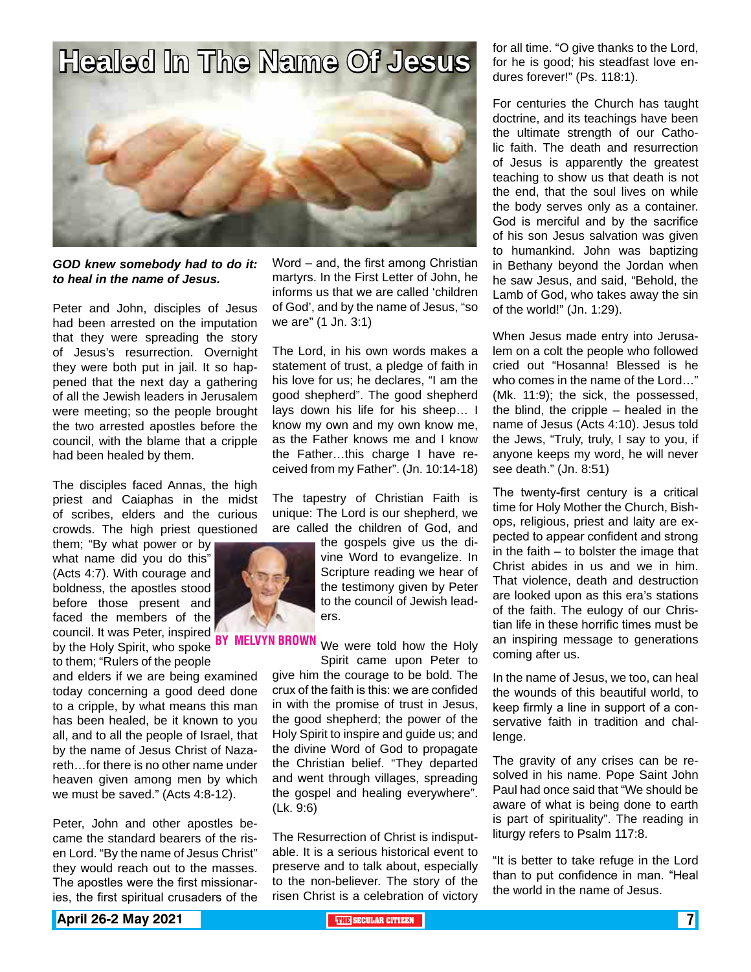

#### *GOD knew somebody had to do it: to heal in the name of Jesus.*

Peter and John, disciples of Jesus had been arrested on the imputation that they were spreading the story of Jesus's resurrection. Overnight they were both put in jail. It so happened that the next day a gathering of all the Jewish leaders in Jerusalem were meeting; so the people brought the two arrested apostles before the council, with the blame that a cripple had been healed by them.

The disciples faced Annas, the high priest and Caiaphas in the midst of scribes, elders and the curious crowds. The high priest questioned

them; "By what power or by what name did you do this" (Acts 4:7). With courage and boldness, the apostles stood before those present and faced the members of the council. It was Peter, inspired by the Holy Spirit, who spoke to them; "Rulers of the people

and elders if we are being examined today concerning a good deed done to a cripple, by what means this man has been healed, be it known to you all, and to all the people of Israel, that by the name of Jesus Christ of Nazareth…for there is no other name under heaven given among men by which we must be saved." (Acts 4:8-12).

Peter, John and other apostles became the standard bearers of the risen Lord. "By the name of Jesus Christ" they would reach out to the masses. The apostles were the first missionaries, the first spiritual crusaders of the

Word – and, the first among Christian martyrs. In the First Letter of John, he informs us that we are called 'children of God', and by the name of Jesus, "so we are" (1 Jn. 3:1)

The Lord, in his own words makes a statement of trust, a pledge of faith in his love for us; he declares, "I am the good shepherd". The good shepherd lays down his life for his sheep… I know my own and my own know me, as the Father knows me and I know the Father…this charge I have received from my Father". (Jn. 10:14-18)

The tapestry of Christian Faith is unique: The Lord is our shepherd, we are called the children of God, and

> the gospels give us the divine Word to evangelize. In Scripture reading we hear of the testimony given by Peter to the council of Jewish leaders.

BY MELVYN BROWN We were told how the Holy Spirit came upon Peter to

give him the courage to be bold. The crux of the faith is this: we are confided in with the promise of trust in Jesus, the good shepherd; the power of the Holy Spirit to inspire and guide us; and the divine Word of God to propagate the Christian belief. "They departed and went through villages, spreading the gospel and healing everywhere". (Lk. 9:6)

The Resurrection of Christ is indisputable. It is a serious historical event to preserve and to talk about, especially to the non-believer. The story of the risen Christ is a celebration of victory for all time. "O give thanks to the Lord, for he is good; his steadfast love endures forever!" (Ps. 118:1).

For centuries the Church has taught doctrine, and its teachings have been the ultimate strength of our Catholic faith. The death and resurrection of Jesus is apparently the greatest teaching to show us that death is not the end, that the soul lives on while the body serves only as a container. God is merciful and by the sacrifice of his son Jesus salvation was given to humankind. John was baptizing in Bethany beyond the Jordan when he saw Jesus, and said, "Behold, the Lamb of God, who takes away the sin of the world!" (Jn. 1:29).

When Jesus made entry into Jerusalem on a colt the people who followed cried out "Hosanna! Blessed is he who comes in the name of the Lord…" (Mk. 11:9); the sick, the possessed, the blind, the cripple – healed in the name of Jesus (Acts 4:10). Jesus told the Jews, "Truly, truly, I say to you, if anyone keeps my word, he will never see death." (Jn. 8:51)

The twenty-first century is a critical time for Holy Mother the Church, Bishops, religious, priest and laity are expected to appear confident and strong in the faith  $-$  to bolster the image that Christ abides in us and we in him. That violence, death and destruction are looked upon as this era's stations of the faith. The eulogy of our Christian life in these horrific times must be an inspiring message to generations coming after us.

In the name of Jesus, we too, can heal the wounds of this beautiful world, to keep firmly a line in support of a conservative faith in tradition and challenge.

The gravity of any crises can be resolved in his name. Pope Saint John Paul had once said that "We should be aware of what is being done to earth is part of spirituality". The reading in liturgy refers to Psalm 117:8.

"It is better to take refuge in the Lord than to put confidence in man. "Heal the world in the name of Jesus.

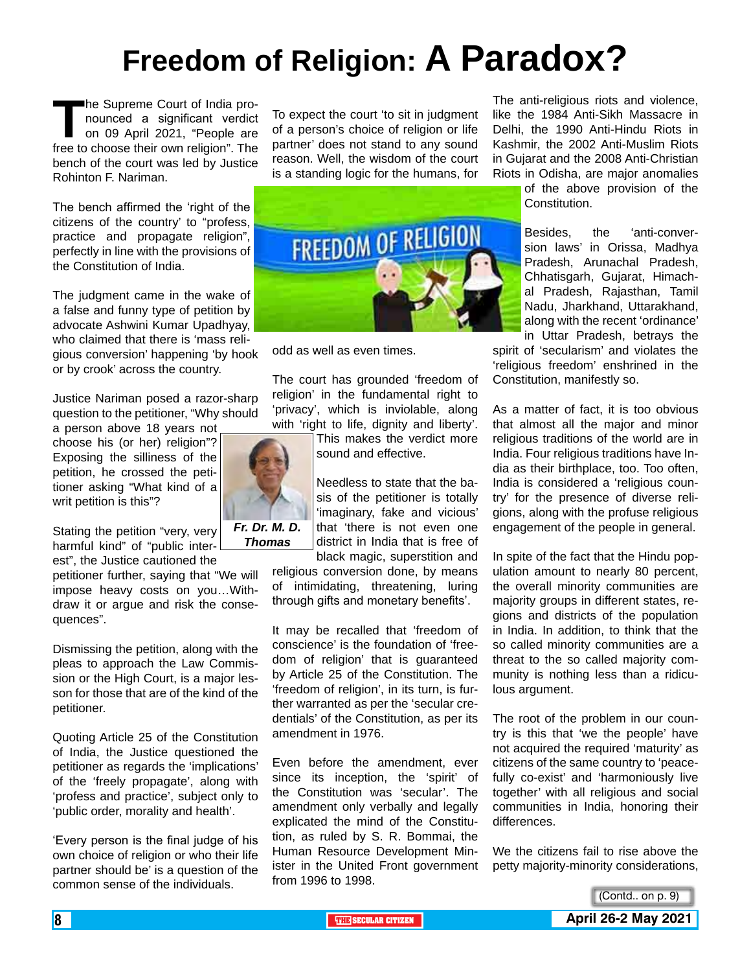# **Freedom of Religion: A Paradox?**

The Supreme Court of India pro-<br>
nounced a significant verdict<br>
on 09 April 2021, "People are<br>
free to choose their own religion". The nounced a significant verdict on 09 April 2021, "People are bench of the court was led by Justice Rohinton F. Nariman.

The bench affirmed the 'right of the citizens of the country' to "profess, practice and propagate religion", perfectly in line with the provisions of the Constitution of India.

The judgment came in the wake of a false and funny type of petition by advocate Ashwini Kumar Upadhyay, who claimed that there is 'mass religious conversion' happening 'by hook or by crook' across the country.

Justice Nariman posed a razor-sharp question to the petitioner, "Why should

a person above 18 years not choose his (or her) religion"? Exposing the silliness of the petition, he crossed the petitioner asking "What kind of a writ petition is this"?

Stating the petition "very, very harmful kind" of "public interest", the Justice cautioned the

petitioner further, saying that "We will impose heavy costs on you…Withdraw it or argue and risk the consequences".

Dismissing the petition, along with the pleas to approach the Law Commission or the High Court, is a major lesson for those that are of the kind of the petitioner.

Quoting Article 25 of the Constitution of India, the Justice questioned the petitioner as regards the 'implications' of the 'freely propagate', along with 'profess and practice', subject only to 'public order, morality and health'.

'Every person is the final judge of his own choice of religion or who their life partner should be' is a question of the common sense of the individuals.

To expect the court 'to sit in judgment of a person's choice of religion or life partner' does not stand to any sound reason. Well, the wisdom of the court is a standing logic for the humans, for



odd as well as even times.

The court has grounded 'freedom of religion' in the fundamental right to 'privacy', which is inviolable, along with 'right to life, dignity and liberty'.

> This makes the verdict more sound and effective.

Needless to state that the basis of the petitioner is totally 'imaginary, fake and vicious' that 'there is not even one district in India that is free of

black magic, superstition and religious conversion done, by means of intimidating, threatening, luring through gifts and monetary benefits'.

It may be recalled that 'freedom of conscience' is the foundation of 'freedom of religion' that is guaranteed by Article 25 of the Constitution. The 'freedom of religion', in its turn, is further warranted as per the 'secular credentials' of the Constitution, as per its amendment in 1976.

Even before the amendment, ever since its inception, the 'spirit' of the Constitution was 'secular'. The amendment only verbally and legally explicated the mind of the Constitution, as ruled by S. R. Bommai, the Human Resource Development Minister in the United Front government from 1996 to 1998.

The anti-religious riots and violence, like the 1984 Anti-Sikh Massacre in Delhi, the 1990 Anti-Hindu Riots in Kashmir, the 2002 Anti-Muslim Riots in Gujarat and the 2008 Anti-Christian Riots in Odisha, are major anomalies

of the above provision of the Constitution.

Besides, the 'anti-conversion laws' in Orissa, Madhya Pradesh, Arunachal Pradesh, Chhatisgarh, Gujarat, Himachal Pradesh, Rajasthan, Tamil Nadu, Jharkhand, Uttarakhand, along with the recent 'ordinance' in Uttar Pradesh, betrays the

spirit of 'secularism' and violates the 'religious freedom' enshrined in the Constitution, manifestly so.

As a matter of fact, it is too obvious that almost all the major and minor religious traditions of the world are in India. Four religious traditions have India as their birthplace, too. Too often, India is considered a 'religious country' for the presence of diverse religions, along with the profuse religious engagement of the people in general.

In spite of the fact that the Hindu population amount to nearly 80 percent, the overall minority communities are majority groups in different states, regions and districts of the population in India. In addition, to think that the so called minority communities are a threat to the so called majority community is nothing less than a ridiculous argument.

The root of the problem in our country is this that 'we the people' have not acquired the required 'maturity' as citizens of the same country to 'peacefully co-exist' and 'harmoniously live together' with all religious and social communities in India, honoring their differences.

We the citizens fail to rise above the petty majority-minority considerations,





*Thomas*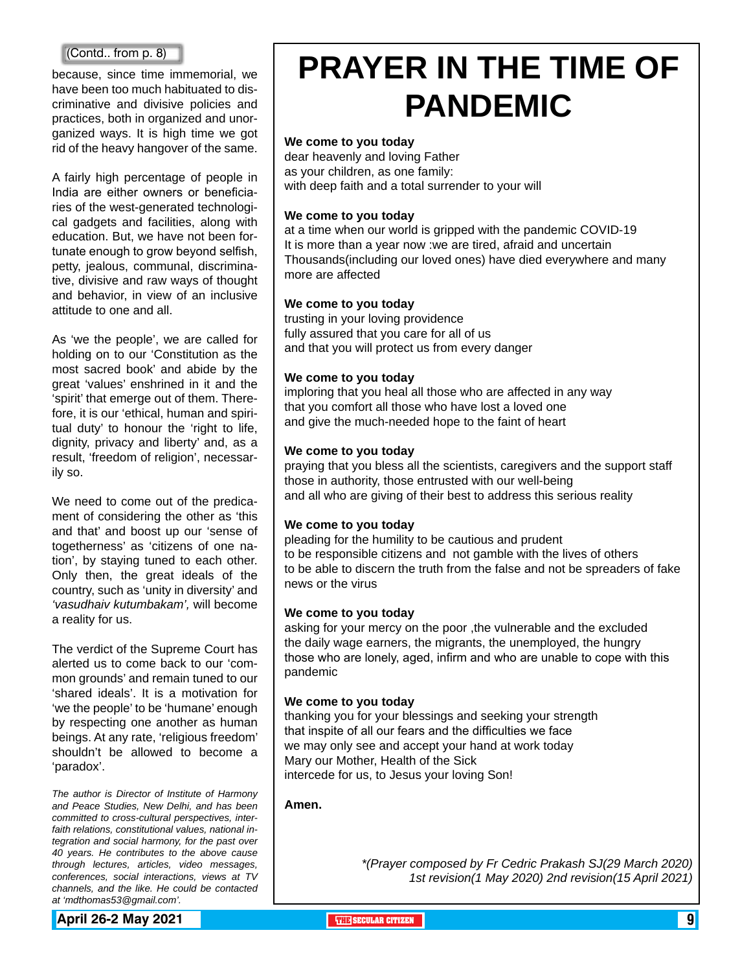because, since time immemorial, we have been too much habituated to discriminative and divisive policies and practices, both in organized and unorganized ways. It is high time we got rid of the heavy hangover of the same.

A fairly high percentage of people in India are either owners or beneficiaries of the west-generated technological gadgets and facilities, along with education. But, we have not been fortunate enough to grow beyond selfish, petty, jealous, communal, discriminative, divisive and raw ways of thought and behavior, in view of an inclusive attitude to one and all.

As 'we the people', we are called for holding on to our 'Constitution as the most sacred book' and abide by the great 'values' enshrined in it and the 'spirit' that emerge out of them. Therefore, it is our 'ethical, human and spiritual duty' to honour the 'right to life, dignity, privacy and liberty' and, as a result, 'freedom of religion', necessarily so.

We need to come out of the predicament of considering the other as 'this and that' and boost up our 'sense of togetherness' as 'citizens of one nation', by staying tuned to each other. Only then, the great ideals of the country, such as 'unity in diversity' and *'vasudhaiv kutumbakam',* will become a reality for us.

The verdict of the Supreme Court has alerted us to come back to our 'common grounds' and remain tuned to our 'shared ideals'. It is a motivation for 'we the people' to be 'humane' enough by respecting one another as human beings. At any rate, 'religious freedom' shouldn't be allowed to become a 'paradox'.

*The author is Director of Institute of Harmony and Peace Studies, New Delhi, and has been committed to cross-cultural perspectives, interfaith relations, constitutional values, national integration and social harmony, for the past over 40 years. He contributes to the above cause through lectures, articles, video messages, conferences, social interactions, views at TV channels, and the like. He could be contacted at 'mdthomas53@gmail.com'.* 

(Contd.. from p. 8) **PRAYER IN THE TIME OF PANDEMIC**

#### **We come to you today**

dear heavenly and loving Father as your children, as one family: with deep faith and a total surrender to your will

#### **We come to you today**

at a time when our world is gripped with the pandemic COVID-19 It is more than a year now :we are tired, afraid and uncertain Thousands(including our loved ones) have died everywhere and many more are affected

#### **We come to you today**

trusting in your loving providence fully assured that you care for all of us and that you will protect us from every danger

#### **We come to you today**

imploring that you heal all those who are affected in any way that you comfort all those who have lost a loved one and give the much-needed hope to the faint of heart

#### **We come to you today**

praying that you bless all the scientists, caregivers and the support staff those in authority, those entrusted with our well-being and all who are giving of their best to address this serious reality

#### **We come to you today**

pleading for the humility to be cautious and prudent to be responsible citizens and not gamble with the lives of others to be able to discern the truth from the false and not be spreaders of fake news or the virus

#### **We come to you today**

asking for your mercy on the poor , the vulnerable and the excluded the daily wage earners, the migrants, the unemployed, the hungry those who are lonely, aged, infirm and who are unable to cope with this pandemic

#### **We come to you today**

thanking you for your blessings and seeking your strength that inspite of all our fears and the difficulties we face we may only see and accept your hand at work today Mary our Mother, Health of the Sick intercede for us, to Jesus your loving Son!

#### **Amen.**

*\*(Prayer composed by Fr Cedric Prakash SJ(29 March 2020) 1st revision(1 May 2020) 2nd revision(15 April 2021)* 

**April 26-2 May 2021 The City of the SECULAR CITIZEN 1999 (Secular City of the SECULAR CITIZEN 1999)**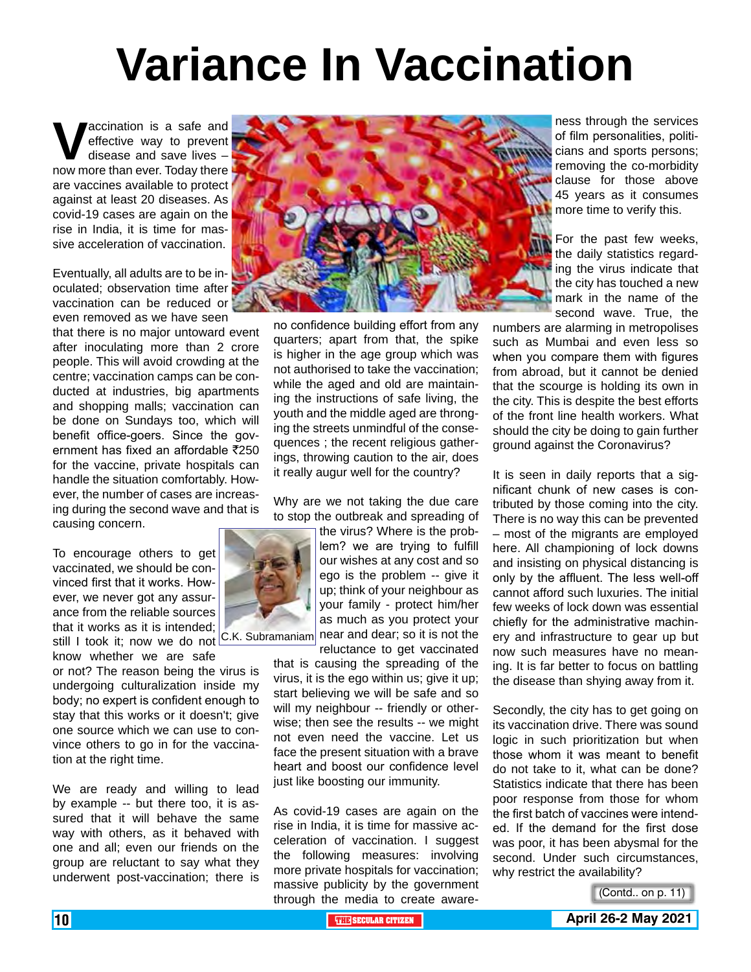# **Variance In Vaccination**

**V** accination is a safe and<br>effective way to prevent<br>disease and save lives –<br>now more than ever. Today there effective way to prevent disease and save lives – now more than ever. Today there are vaccines available to protect against at least 20 diseases. As covid-19 cases are again on the rise in India, it is time for massive acceleration of vaccination.

Eventually, all adults are to be inoculated; observation time after vaccination can be reduced or even removed as we have seen

that there is no major untoward event after inoculating more than 2 crore people. This will avoid crowding at the centre; vaccination camps can be conducted at industries, big apartments and shopping malls; vaccination can be done on Sundays too, which will benefit office-goers. Since the government has fixed an affordable  $\bar{\tau}$ 250 for the vaccine, private hospitals can handle the situation comfortably. However, the number of cases are increasing during the second wave and that is causing concern.

To encourage others to get vaccinated, we should be convinced first that it works. However, we never got any assurance from the reliable sources that it works as it is intended;

still I took it; now we do not C.K. Subramaniam know whether we are safe

or not? The reason being the virus is undergoing culturalization inside my body; no expert is confident enough to stay that this works or it doesn't; give one source which we can use to convince others to go in for the vaccination at the right time.

We are ready and willing to lead by example -- but there too, it is assured that it will behave the same way with others, as it behaved with one and all; even our friends on the group are reluctant to say what they underwent post-vaccination; there is



no confidence building effort from any quarters; apart from that, the spike is higher in the age group which was not authorised to take the vaccination; while the aged and old are maintaining the instructions of safe living, the youth and the middle aged are thronging the streets unmindful of the consequences ; the recent religious gatherings, throwing caution to the air, does it really augur well for the country?

Why are we not taking the due care to stop the outbreak and spreading of

> the virus? Where is the problem? we are trying to fulfill our wishes at any cost and so ego is the problem -- give it up; think of your neighbour as your family - protect him/her as much as you protect your near and dear; so it is not the

reluctance to get vaccinated

that is causing the spreading of the virus, it is the ego within us; give it up; start believing we will be safe and so will my neighbour -- friendly or otherwise; then see the results -- we might not even need the vaccine. Let us face the present situation with a brave heart and boost our confidence level just like boosting our immunity.

As covid-19 cases are again on the rise in India, it is time for massive acceleration of vaccination. I suggest the following measures: involving more private hospitals for vaccination; massive publicity by the government through the media to create awareness through the services of film personalities, politicians and sports persons; removing the co-morbidity clause for those above 45 years as it consumes more time to verify this.

For the past few weeks, the daily statistics regarding the virus indicate that the city has touched a new mark in the name of the second wave. True, the

numbers are alarming in metropolises such as Mumbai and even less so when you compare them with figures from abroad, but it cannot be denied that the scourge is holding its own in the city. This is despite the best efforts of the front line health workers. What should the city be doing to gain further ground against the Coronavirus?

It is seen in daily reports that a significant chunk of new cases is contributed by those coming into the city. There is no way this can be prevented – most of the migrants are employed here. All championing of lock downs and insisting on physical distancing is only by the affluent. The less well-off cannot afford such luxuries. The initial few weeks of lock down was essential chiefly for the administrative machinery and infrastructure to gear up but now such measures have no meaning. It is far better to focus on battling the disease than shying away from it.

Secondly, the city has to get going on its vaccination drive. There was sound logic in such prioritization but when those whom it was meant to benefit do not take to it, what can be done? Statistics indicate that there has been poor response from those for whom the first batch of vaccines were intended. If the demand for the first dose was poor, it has been abysmal for the second. Under such circumstances, why restrict the availability?

(Contd.. on p. 11)

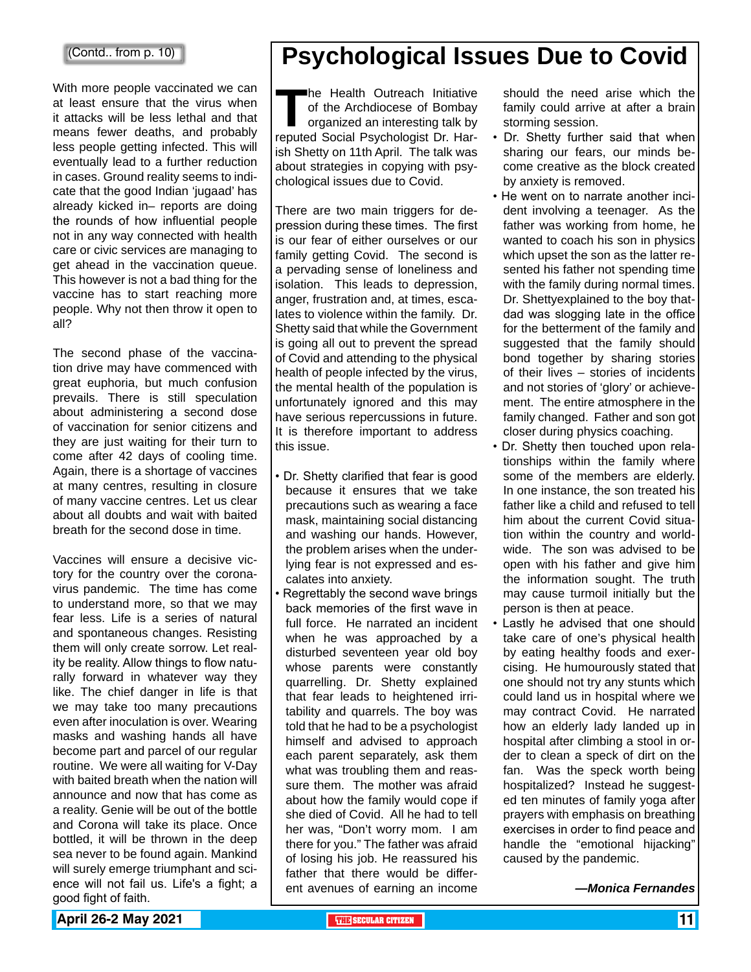#### (Contd.. from p. 10)

With more people vaccinated we can at least ensure that the virus when it attacks will be less lethal and that means fewer deaths, and probably less people getting infected. This will eventually lead to a further reduction in cases. Ground reality seems to indicate that the good Indian 'jugaad' has already kicked in– reports are doing the rounds of how influential people not in any way connected with health care or civic services are managing to get ahead in the vaccination queue. This however is not a bad thing for the vaccine has to start reaching more people. Why not then throw it open to all?

The second phase of the vaccination drive may have commenced with great euphoria, but much confusion prevails. There is still speculation about administering a second dose of vaccination for senior citizens and they are just waiting for their turn to come after 42 days of cooling time. Again, there is a shortage of vaccines at many centres, resulting in closure of many vaccine centres. Let us clear about all doubts and wait with baited breath for the second dose in time.

Vaccines will ensure a decisive victory for the country over the coronavirus pandemic. The time has come to understand more, so that we may fear less. Life is a series of natural and spontaneous changes. Resisting them will only create sorrow. Let reality be reality. Allow things to flow naturally forward in whatever way they like. The chief danger in life is that we may take too many precautions even after inoculation is over. Wearing masks and washing hands all have become part and parcel of our regular routine. We were all waiting for V-Day with baited breath when the nation will announce and now that has come as a reality. Genie will be out of the bottle and Corona will take its place. Once bottled, it will be thrown in the deep sea never to be found again. Mankind will surely emerge triumphant and science will not fail us. Life's a fight; a good fight of faith.

### **Psychological Issues Due to Covid**

The Health Outreach Initiative<br>of the Archdiocese of Bombay<br>organized an interesting talk by<br>reputed Social Psychologist Dr. Harof the Archdiocese of Bombay organized an interesting talk by reputed Social Psychologist Dr. Harish Shetty on 11th April. The talk was about strategies in copying with psychological issues due to Covid.

There are two main triggers for depression during these times. The first is our fear of either ourselves or our family getting Covid. The second is a pervading sense of loneliness and isolation. This leads to depression, anger, frustration and, at times, escalates to violence within the family. Dr. Shetty said that while the Government is going all out to prevent the spread of Covid and attending to the physical health of people infected by the virus, the mental health of the population is unfortunately ignored and this may have serious repercussions in future. It is therefore important to address this issue.

- Dr. Shetty clarified that fear is good because it ensures that we take precautions such as wearing a face mask, maintaining social distancing and washing our hands. However, the problem arises when the underlying fear is not expressed and escalates into anxiety.
- Regrettably the second wave brings back memories of the first wave in full force. He narrated an incident when he was approached by a disturbed seventeen year old boy whose parents were constantly quarrelling. Dr. Shetty explained that fear leads to heightened irritability and quarrels. The boy was told that he had to be a psychologist himself and advised to approach each parent separately, ask them what was troubling them and reassure them. The mother was afraid about how the family would cope if she died of Covid. All he had to tell her was, "Don't worry mom. I am there for you." The father was afraid of losing his job. He reassured his father that there would be different avenues of earning an income

should the need arise which the family could arrive at after a brain storming session.

- Dr. Shetty further said that when sharing our fears, our minds become creative as the block created by anxiety is removed.
- He went on to narrate another incident involving a teenager. As the father was working from home, he wanted to coach his son in physics which upset the son as the latter resented his father not spending time with the family during normal times. Dr. Shettyexplained to the boy thatdad was slogging late in the office for the betterment of the family and suggested that the family should bond together by sharing stories of their lives – stories of incidents and not stories of 'glory' or achievement. The entire atmosphere in the family changed. Father and son got closer during physics coaching.
- Dr. Shetty then touched upon relationships within the family where some of the members are elderly. In one instance, the son treated his father like a child and refused to tell him about the current Covid situation within the country and worldwide. The son was advised to be open with his father and give him the information sought. The truth may cause turmoil initially but the person is then at peace.
- Lastly he advised that one should take care of one's physical health by eating healthy foods and exercising. He humourously stated that one should not try any stunts which could land us in hospital where we may contract Covid. He narrated how an elderly lady landed up in hospital after climbing a stool in order to clean a speck of dirt on the fan. Was the speck worth being hospitalized? Instead he suggested ten minutes of family yoga after prayers with emphasis on breathing exercises in order to find peace and handle the "emotional hijacking" caused by the pandemic.

*—Monica Fernandes*

**April 26-2 May 2021 The CITIZEN 11 SECULAR CITIZEN THE** SECULAR CITIZEN **11**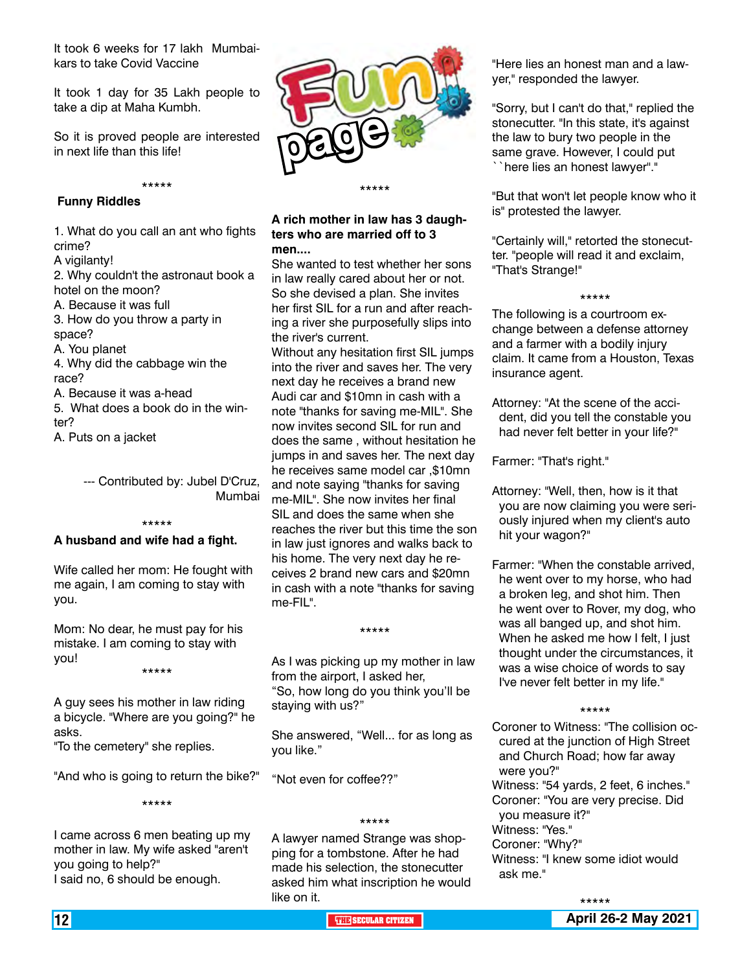It took 6 weeks for 17 lakh Mumbaikars to take Covid Vaccine

It took 1 day for 35 Lakh people to take a dip at Maha Kumbh.

So it is proved people are interested in next life than this life!

\*\*\*\*\*

#### **Funny Riddles**

1. What do you call an ant who fights crime?

A vigilanty!

2. Why couldn't the astronaut book a hotel on the moon?

A. Because it was full

3. How do you throw a party in space?

A. You planet

4. Why did the cabbage win the race?

A. Because it was a-head

5. What does a book do in the winter?

A. Puts on a jacket

--- Contributed by: Jubel D'Cruz, Mumbai

#### \*\*\*\*\*

#### **A husband and wife had a fight.**

Wife called her mom: He fought with me again, I am coming to stay with you.

Mom: No dear, he must pay for his mistake. I am coming to stay with you!

\*\*\*\*\*

A guy sees his mother in law riding a bicycle. "Where are you going?" he asks.

"To the cemetery" she replies.

"And who is going to return the bike?" \*\*\*\*\*

I came across 6 men beating up my mother in law. My wife asked "aren't you going to help?" I said no, 6 should be enough.



#### **A rich mother in law has 3 daughters who are married off to 3 men....**

She wanted to test whether her sons in law really cared about her or not. So she devised a plan. She invites her first SIL for a run and after reaching a river she purposefully slips into the river's current.

Without any hesitation first SIL jumps into the river and saves her. The very next day he receives a brand new Audi car and \$10mn in cash with a note "thanks for saving me-MIL". She now invites second SIL for run and does the same , without hesitation he jumps in and saves her. The next day he receives same model car ,\$10mn and note saying "thanks for saving me-MIL". She now invites her final SIL and does the same when she reaches the river but this time the son in law just ignores and walks back to his home. The very next day he receives 2 brand new cars and \$20mn in cash with a note "thanks for saving me-FIL".

As I was picking up my mother in law from the airport, I asked her, "So, how long do you think you'll be staying with us?"

\*\*\*\*\*

She answered, "Well... for as long as you like."

"Not even for coffee??"

#### \*\*\*\*\*

A lawyer named Strange was shopping for a tombstone. After he had made his selection, the stonecutter asked him what inscription he would like on it.

"Here lies an honest man and a lawyer," responded the lawyer.

"Sorry, but I can't do that," replied the stonecutter. "In this state, it's against the law to bury two people in the same grave. However, I could put ``here lies an honest lawyer''."

"But that won't let people know who it is" protested the lawyer.

"Certainly will," retorted the stonecutter. "people will read it and exclaim, "That's Strange!"

\*\*\*\*\*

The following is a courtroom exchange between a defense attorney and a farmer with a bodily injury claim. It came from a Houston, Texas insurance agent.

Attorney: "At the scene of the accident, did you tell the constable you had never felt better in your life?"

Farmer: "That's right."

Attorney: "Well, then, how is it that you are now claiming you were seriously injured when my client's auto hit your wagon?"

Farmer: "When the constable arrived, he went over to my horse, who had a broken leg, and shot him. Then he went over to Rover, my dog, who was all banged up, and shot him. When he asked me how I felt, I just thought under the circumstances, it was a wise choice of words to say I've never felt better in my life."

#### \*\*\*\*\*

Coroner to Witness: "The collision occured at the junction of High Street and Church Road; how far away were you?"

Witness: "54 yards, 2 feet, 6 inches." Coroner: "You are very precise. Did

you measure it?" Witness: "Yes."

Coroner: "Why?"

Witness: "I knew some idiot would ask me."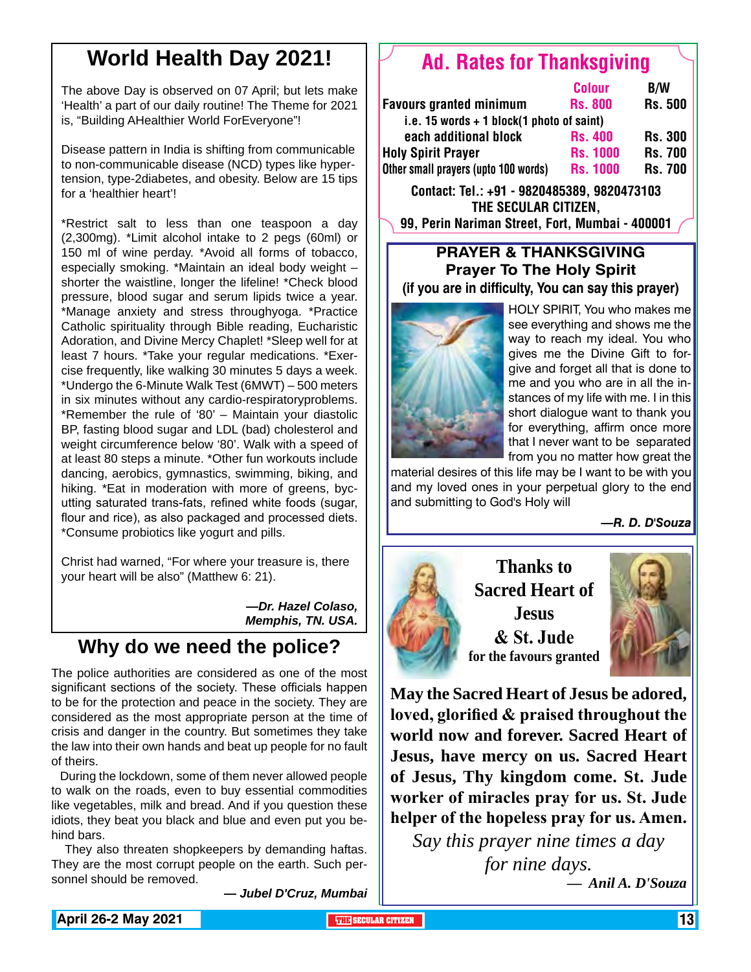### **World Health Day 2021!**

The above Day is observed on 07 April; but lets make 'Health' a part of our daily routine! The Theme for 2021 is, "Building AHealthier World ForEveryone"!

Disease pattern in India is shifting from communicable to non-communicable disease (NCD) types like hypertension, type-2diabetes, and obesity. Below are 15 tips for a 'healthier heart'!

\*Restrict salt to less than one teaspoon a day (2,300mg). \*Limit alcohol intake to 2 pegs (60ml) or 150 ml of wine perday. \*Avoid all forms of tobacco, especially smoking. \*Maintain an ideal body weight – shorter the waistline, longer the lifeline! \*Check blood pressure, blood sugar and serum lipids twice a year. \*Manage anxiety and stress throughyoga. \*Practice Catholic spirituality through Bible reading, Eucharistic Adoration, and Divine Mercy Chaplet! \*Sleep well for at least 7 hours. \*Take your regular medications. \*Exercise frequently, like walking 30 minutes 5 days a week. \*Undergo the 6-Minute Walk Test (6MWT) – 500 meters in six minutes without any cardio-respiratoryproblems. \*Remember the rule of '80' – Maintain your diastolic BP, fasting blood sugar and LDL (bad) cholesterol and weight circumference below '80'. Walk with a speed of at least 80 steps a minute. \*Other fun workouts include dancing, aerobics, gymnastics, swimming, biking, and hiking. \*Eat in moderation with more of greens, bycutting saturated trans-fats, refined white foods (sugar, flour and rice), as also packaged and processed diets. \*Consume probiotics like yogurt and pills.

Christ had warned, "For where your treasure is, there your heart will be also" (Matthew 6: 21).

> *—Dr. Hazel Colaso, Memphis, TN. USA.*

### **Why do we need the police?**

The police authorities are considered as one of the most significant sections of the society. These officials happen to be for the protection and peace in the society. They are considered as the most appropriate person at the time of crisis and danger in the country. But sometimes they take the law into their own hands and beat up people for no fault of theirs.

 During the lockdown, some of them never allowed people to walk on the roads, even to buy essential commodities like vegetables, milk and bread. And if you question these idiots, they beat you black and blue and even put you behind bars.

 They also threaten shopkeepers by demanding haftas. They are the most corrupt people on the earth. Such personnel should be removed.

*— Jubel D'Cruz, Mumbai*

### Ad. Rates for Thanksgiving

|                                             | <b>Colour</b>   | <b>B/W</b>     |
|---------------------------------------------|-----------------|----------------|
| <b>Favours granted minimum</b>              | <b>Rs. 800</b>  | <b>Rs. 500</b> |
| i.e. 15 words $+$ 1 block(1 photo of saint) |                 |                |
| each additional block                       | <b>Rs. 400</b>  | <b>Rs. 300</b> |
| <b>Holy Spirit Prayer</b>                   | <b>Rs. 1000</b> | <b>Rs. 700</b> |
| Other small prayers (upto 100 words)        | <b>Rs. 1000</b> | <b>Rs. 700</b> |

Contact: Tel.: +91 - 9820485389, 9820473103 The Secular Citizen, 99, Perin Nariman Street, Fort, Mumbai - 400001

#### **Prayer & Thanksgiving Prayer To The Holy Spirit (if you are in difficulty, You can say this prayer)**



HOLY SPIRIT, You who makes me see everything and shows me the way to reach my ideal. You who gives me the Divine Gift to forgive and forget all that is done to me and you who are in all the instances of my life with me. I in this short dialogue want to thank you for everything, affirm once more that I never want to be separated from you no matter how great the

material desires of this life may be I want to be with you and my loved ones in your perpetual glory to the end and submitting to God's Holy will

*—R. D. D'Souza*



**Thanks to Sacred Heart of Jesus & St. Jude for the favours granted**



**May the Sacred Heart of Jesus be adored, loved, glorified & praised throughout the world now and forever. Sacred Heart of Jesus, have mercy on us. Sacred Heart of Jesus, Thy kingdom come. St. Jude worker of miracles pray for us. St. Jude helper of the hopeless pray for us. Amen.**

*Say this prayer nine times a day for nine days.* 

*— Anil A. D'Souza*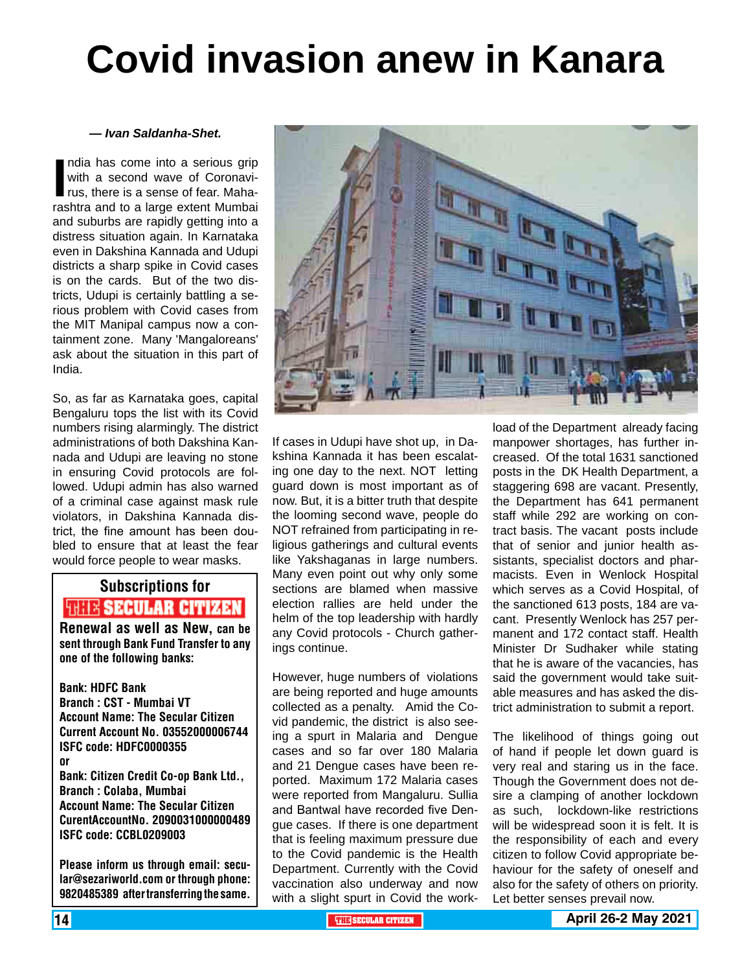# **Covid invasion anew in Kanara**

#### *— Ivan Saldanha-Shet.*

India has come into a serious grip<br>
with a second wave of Coronavi-<br>
rus, there is a sense of fear. Maha-<br>
rashtra and to a large extent Mumbai ndia has come into a serious grip with a second wave of Coronavirus, there is a sense of fear. Mahaand suburbs are rapidly getting into a distress situation again. In Karnataka even in Dakshina Kannada and Udupi districts a sharp spike in Covid cases is on the cards. But of the two districts, Udupi is certainly battling a serious problem with Covid cases from the MIT Manipal campus now a containment zone. Many 'Mangaloreans' ask about the situation in this part of India.

So, as far as Karnataka goes, capital Bengaluru tops the list with its Covid numbers rising alarmingly. The district administrations of both Dakshina Kannada and Udupi are leaving no stone in ensuring Covid protocols are followed. Udupi admin has also warned of a criminal case against mask rule violators, in Dakshina Kannada district, the fine amount has been doubled to ensure that at least the fear would force people to wear masks.

### Subscriptions for **RENEW SECULAR CITIZEN**<br>Renewal as well as New, can be

sent through Bank Fund Transfer to any one of the following banks:

Bank: HDFC Bank Branch : CST - Mumbai VT Account Name: The Secular Citizen Current Account No. 03552000006744 ISFC code: HDFC0000355 or Bank: Citizen Credit Co-op Bank Ltd., Branch : Colaba, Mumbai Account Name: The Secular Citizen CurentAccountNo. 2090031000000489 ISFC code: CCBL0209003

Please inform us through email: secular@sezariworld.com or through phone: 9820485389 after transferring the same.



If cases in Udupi have shot up, in Dakshina Kannada it has been escalating one day to the next. NOT letting guard down is most important as of now. But, it is a bitter truth that despite the looming second wave, people do NOT refrained from participating in religious gatherings and cultural events like Yakshaganas in large numbers. Many even point out why only some sections are blamed when massive election rallies are held under the helm of the top leadership with hardly any Covid protocols - Church gatherings continue.

However, huge numbers of violations are being reported and huge amounts collected as a penalty. Amid the Covid pandemic, the district is also seeing a spurt in Malaria and Dengue cases and so far over 180 Malaria and 21 Dengue cases have been reported. Maximum 172 Malaria cases were reported from Mangaluru. Sullia and Bantwal have recorded five Dengue cases. If there is one department that is feeling maximum pressure due to the Covid pandemic is the Health Department. Currently with the Covid vaccination also underway and now with a slight spurt in Covid the work-

load of the Department already facing manpower shortages, has further increased. Of the total 1631 sanctioned posts in the DK Health Department, a staggering 698 are vacant. Presently, the Department has 641 permanent staff while 292 are working on contract basis. The vacant posts include that of senior and junior health assistants, specialist doctors and pharmacists. Even in Wenlock Hospital which serves as a Covid Hospital, of the sanctioned 613 posts, 184 are vacant. Presently Wenlock has 257 permanent and 172 contact staff. Health Minister Dr Sudhaker while stating that he is aware of the vacancies, has said the government would take suitable measures and has asked the district administration to submit a report.

The likelihood of things going out of hand if people let down guard is very real and staring us in the face. Though the Government does not desire a clamping of another lockdown as such, lockdown-like restrictions will be widespread soon it is felt. It is the responsibility of each and every citizen to follow Covid appropriate behaviour for the safety of oneself and also for the safety of others on priority. Let better senses prevail now.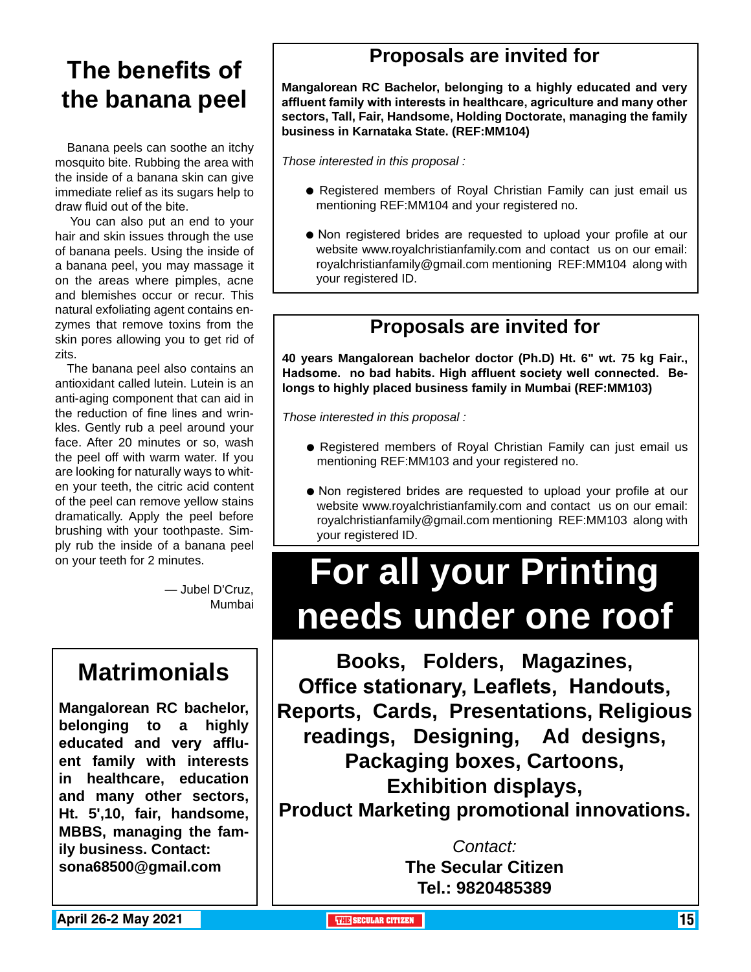### **The benefits of the banana peel**

 Banana peels can soothe an itchy mosquito bite. Rubbing the area with the inside of a banana skin can give immediate relief as its sugars help to draw fluid out of the bite.

 You can also put an end to your hair and skin issues through the use of banana peels. Using the inside of a banana peel, you may massage it on the areas where pimples, acne and blemishes occur or recur. This natural exfoliating agent contains enzymes that remove toxins from the skin pores allowing you to get rid of zits.

 The banana peel also contains an antioxidant called lutein. Lutein is an anti-aging component that can aid in the reduction of fine lines and wrinkles. Gently rub a peel around your face. After 20 minutes or so, wash the peel off with warm water. If you are looking for naturally ways to whiten your teeth, the citric acid content of the peel can remove yellow stains dramatically. Apply the peel before brushing with your toothpaste. Simply rub the inside of a banana peel on your teeth for 2 minutes.

> — Jubel D'Cruz, Mumbai

### **Matrimonials**

**Mangalorean RC bachelor, belonging to a highly educated and very affluent family with interests in healthcare, education and many other sectors, Ht. 5',10, fair, handsome, MBBS, managing the family business. Contact: sona68500@gmail.com**

### **Proposals are invited for**

**Mangalorean RC Bachelor, belonging to a highly educated and very affluent family with interests in healthcare, agriculture and many other sectors, Tall, Fair, Handsome, Holding Doctorate, managing the family business in Karnataka State. (REF:MM104)**

*Those interested in this proposal :*

- Registered members of Royal Christian Family can just email us mentioning REF:MM104 and your registered no.
- $\bullet$  Non registered brides are requested to upload your profile at our website www.royalchristianfamily.com and contact us on our email: royalchristianfamily@gmail.com mentioning REF:MM104 along with your registered ID.

### **Proposals are invited for**

**40 years Mangalorean bachelor doctor (Ph.D) Ht. 6" wt. 75 kg Fair., Hadsome. no bad habits. High affluent society well connected. Belongs to highly placed business family in Mumbai (REF:MM103)**

*Those interested in this proposal :*

- Registered members of Royal Christian Family can just email us mentioning REF:MM103 and your registered no.
- $\bullet$  Non registered brides are requested to upload your profile at our website www.royalchristianfamily.com and contact us on our email: royalchristianfamily@gmail.com mentioning REF:MM103 along with your registered ID.

# **For all your Printing needs under one roof**

**Books, Folders, Magazines, Office stationary, Leaflets, Handouts, Reports, Cards, Presentations, Religious readings, Designing, Ad designs, Packaging boxes, Cartoons, Exhibition displays, Product Marketing promotional innovations.**

> *Contact:* **The Secular Citizen Tel.: 9820485389**

**April 26-2 May 2021 The Contract of the SECULAR CITIZEN THE** SECULAR CITIZEN **15**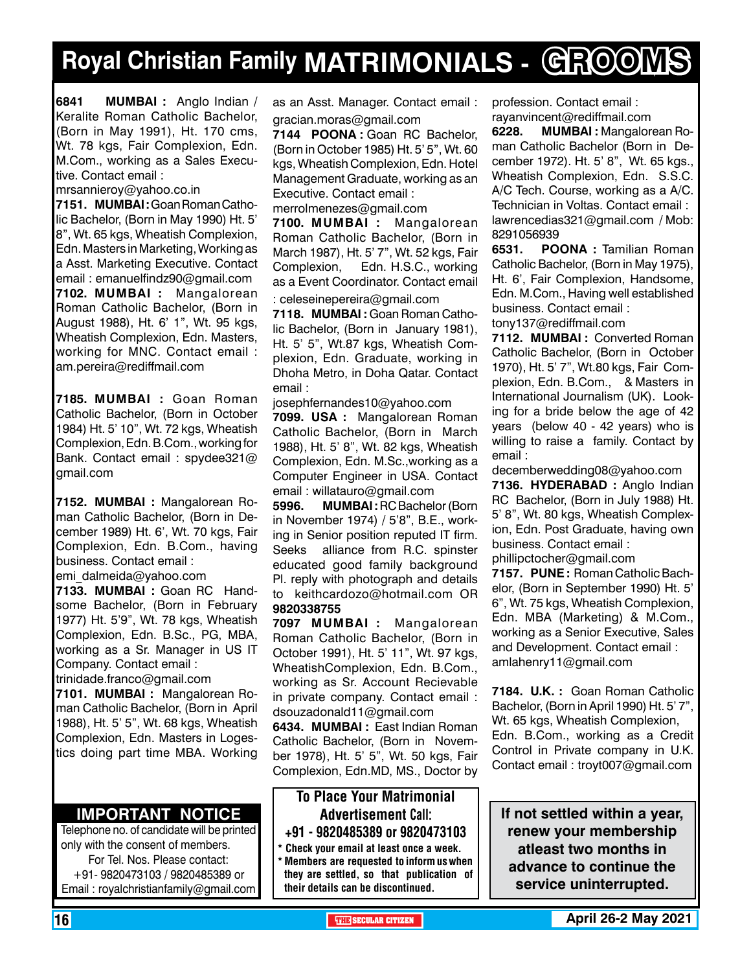## **Royal Christian Family MATRIMONIALS - GROOMS**

**6841 MuMBAI :** Anglo Indian / Keralite Roman Catholic Bachelor, (Born in May 1991), Ht. 170 cms, Wt. 78 kgs, Fair Complexion, Edn. M.Com., working as a Sales Executive. Contact email :

mrsannieroy@yahoo.co.in

**7151. MUMBAI :** Goan Roman Catholic Bachelor, (Born in May 1990) Ht. 5' 8", Wt. 65 kgs, Wheatish Complexion, Edn. Masters in Marketing, Working as a Asst. Marketing Executive. Contact email : emanuelfindz90@gmail.com **7102. MUMBAI :** Mangalorean Roman Catholic Bachelor, (Born in August 1988), Ht. 6' 1", Wt. 95 kgs, Wheatish Complexion, Edn. Masters, working for MNC. Contact email : am.pereira@rediffmail.com

**7185. MUMBAI :** Goan Roman Catholic Bachelor, (Born in October 1984) Ht. 5' 10", Wt. 72 kgs, Wheatish Complexion, Edn. B.Com., working for Bank. Contact email : spydee321@ gmail.com

**7152. MUMBAI :** Mangalorean Roman Catholic Bachelor, (Born in December 1989) Ht. 6', Wt. 70 kgs, Fair Complexion, Edn. B.Com., having business. Contact email :

emi\_dalmeida@yahoo.com

**7133. MUMBAI :** Goan RC Handsome Bachelor, (Born in February 1977) Ht. 5'9", Wt. 78 kgs, Wheatish Complexion, Edn. B.Sc., PG, MBA, working as a Sr. Manager in US IT Company. Contact email :

trinidade.franco@gmail.com **7101. MUMBAI :** Mangalorean Roman Catholic Bachelor, (Born in April

1988), Ht. 5' 5", Wt. 68 kgs, Wheatish Complexion, Edn. Masters in Logestics doing part time MBA. Working

#### **Important Notice**

Telephone no. of candidate will be printed only with the consent of members. For Tel. Nos. Please contact: +91- 9820473103 / 9820485389 or Email : royalchristianfamily@gmail.com

as an Asst. Manager. Contact email : gracian.moras@gmail.com

**7144 POONA :** Goan RC Bachelor, (Born in October 1985) Ht. 5' 5", Wt. 60 kgs, Wheatish Complexion, Edn. Hotel Management Graduate, working as an Executive. Contact email :

merrolmenezes@gmail.com

**7100. MUMBAI :** Mangalorean Roman Catholic Bachelor, (Born in March 1987), Ht. 5' 7", Wt. 52 kgs, Fair Complexion, Edn. H.S.C., working as a Event Coordinator. Contact email

: celeseinepereira@gmail.com **7118. MUMBAI :** Goan Roman Catholic Bachelor, (Born in January 1981), Ht. 5' 5", Wt.87 kgs, Wheatish Complexion, Edn. Graduate, working in Dhoha Metro, in Doha Qatar. Contact email :

josephfernandes10@yahoo.com

**7099. USA :** Mangalorean Roman Catholic Bachelor, (Born in March 1988), Ht. 5' 8", Wt. 82 kgs, Wheatish Complexion, Edn. M.Sc.,working as a Computer Engineer in USA. Contact email : willatauro@gmail.com

**5996. MUMBAI :** RC Bachelor (Born in November 1974) / 5'8", B.E., working in Senior position reputed IT firm. Seeks alliance from R.C. spinster educated good family background Pl. reply with photograph and details to keithcardozo@hotmail.com OR 9820338755

**7097 MUMBAI :** Mangalorean Roman Catholic Bachelor, (Born in October 1991), Ht. 5' 11", Wt. 97 kgs, WheatishComplexion, Edn. B.Com., working as Sr. Account Recievable in private company. Contact email : dsouzadonald11@gmail.com

**6434. MUMBAI :** East Indian Roman Catholic Bachelor, (Born in November 1978), Ht. 5' 5", Wt. 50 kgs, Fair Complexion, Edn.MD, MS., Doctor by

#### To Place Your Matrimonial Advertisement Call: +91 - 9820485389 or 9820473103

Check your email at least once a week. \* Members are requested to inform us when they are settled, so that publication of their details can be discontinued.

profession. Contact email : rayanvincent@rediffmail.com

**6228. MUMBAI :** Mangalorean Roman Catholic Bachelor (Born in December 1972). Ht. 5' 8", Wt. 65 kgs., Wheatish Complexion, Edn. S.S.C. A/C Tech. Course, working as a A/C. Technician in Voltas. Contact email : lawrencedias321@gmail.com / Mob: 8291056939

**6531.** POONA : Tamilian Roman Catholic Bachelor, (Born in May 1975), Ht. 6', Fair Complexion, Handsome, Edn. M.Com., Having well established business. Contact email : tony137@rediffmail.com

**7112. MUMBAI :** Converted Roman Catholic Bachelor, (Born in October 1970), Ht. 5' 7", Wt.80 kgs, Fair Complexion, Edn. B.Com., & Masters in International Journalism (UK). Looking for a bride below the age of 42 years (below 40 - 42 years) who is willing to raise a family. Contact by email :

decemberwedding08@yahoo.com

**7136. HYDERABAD :** Anglo Indian RC Bachelor, (Born in July 1988) Ht. 5' 8", Wt. 80 kgs, Wheatish Complexion, Edn. Post Graduate, having own business. Contact email :

phillipctocher@gmail.com

**7157. PUNE :** Roman Catholic Bachelor, (Born in September 1990) Ht. 5' 6", Wt. 75 kgs, Wheatish Complexion, Edn. MBA (Marketing) & M.Com., working as a Senior Executive, Sales and Development. Contact email : amlahenry11@gmail.com

**7184. U.K. :** Goan Roman Catholic Bachelor, (Born in April 1990) Ht. 5' 7", Wt. 65 kgs, Wheatish Complexion, Edn. B.Com., working as a Credit Control in Private company in U.K. Contact email : troyt007@gmail.com

**If not settled within a year, renew your membership atleast two months in advance to continue the service uninterrupted.**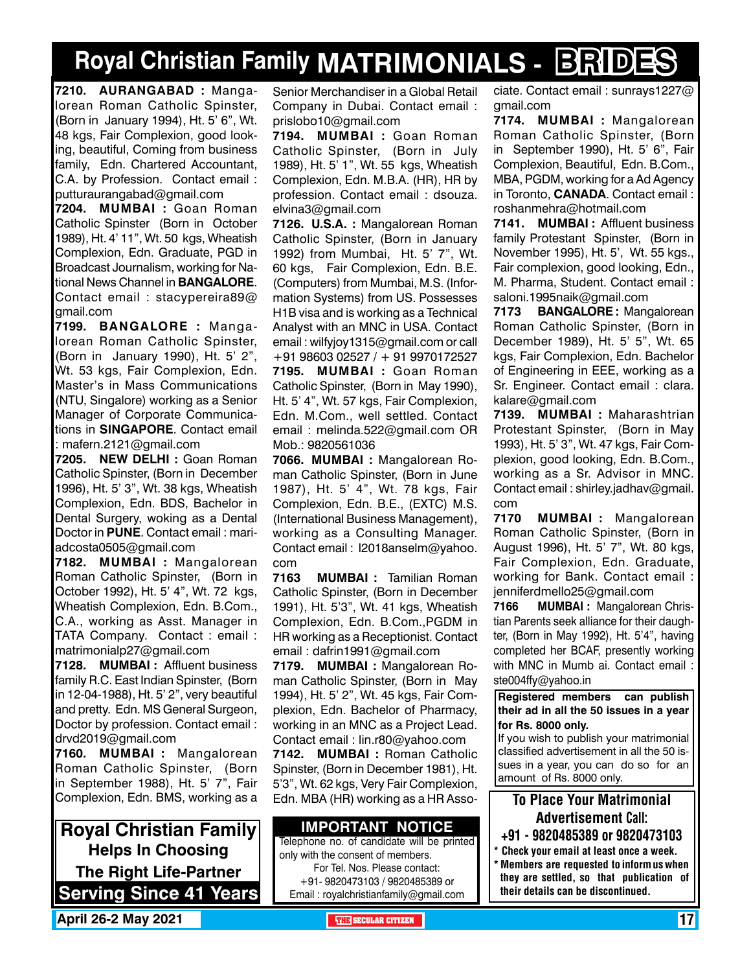## **Royal Christian Family MATRIMONIALS - BRIDES**

**7210. AURANGABAD :** Mangalorean Roman Catholic Spinster, (Born in January 1994), Ht. 5' 6", Wt. 48 kgs, Fair Complexion, good looking, beautiful, Coming from business family, Edn. Chartered Accountant, C.A. by Profession. Contact email : putturaurangabad@gmail.com

**7204. MUMBAI :** Goan Roman Catholic Spinster (Born in October 1989), Ht. 4' 11", Wt. 50 kgs, Wheatish Complexion, Edn. Graduate, PGD in Broadcast Journalism, working for National News Channel in **Bangalore**. Contact email : stacypereira89@ gmail.com

**7199. BANGALORE :** Mangalorean Roman Catholic Spinster, (Born in January 1990), Ht. 5' 2", Wt. 53 kgs, Fair Complexion, Edn. Master's in Mass Communications (NTU, Singalore) working as a Senior Manager of Corporate Communications in **SINGAPORE**. Contact email : mafern.2121@gmail.com

**7205. NEW DELHI :** Goan Roman Catholic Spinster, (Born in December 1996), Ht. 5' 3", Wt. 38 kgs, Wheatish Complexion, Edn. BDS, Bachelor in Dental Surgery, woking as a Dental Doctor in **PUNE**. Contact email : mariadcosta0505@gmail.com

**7182. MUMBAI :** Mangalorean Roman Catholic Spinster, (Born in October 1992), Ht. 5' 4", Wt. 72 kgs, Wheatish Complexion, Edn. B.Com., C.A., working as Asst. Manager in TATA Company. Contact : email : matrimonialp27@gmail.com

**7128. MUMBAI :** Affluent business family R.C. East Indian Spinster, (Born in 12-04-1988), Ht. 5' 2", very beautiful and pretty. Edn. MS General Surgeon, Doctor by profession. Contact email : drvd2019@gmail.com

**7160. MUMBAI :** Mangalorean Roman Catholic Spinster, (Born in September 1988), Ht. 5' 7", Fair Complexion, Edn. BMS, working as a

**Royal Christian Family Helps In Choosing The Right Life-Partner Serving Since 41 Years** Senior Merchandiser in a Global Retail Company in Dubai. Contact email : prislobo10@gmail.com

**7194. MUMBAI :** Goan Roman Catholic Spinster, (Born in July 1989), Ht. 5' 1", Wt. 55 kgs, Wheatish Complexion, Edn. M.B.A. (HR), HR by profession. Contact email : dsouza. elvina3@gmail.com

**7126. U.S.A. :** Mangalorean Roman Catholic Spinster, (Born in January 1992) from Mumbai, Ht. 5' 7", Wt. 60 kgs, Fair Complexion, Edn. B.E. (Computers) from Mumbai, M.S. (Information Systems) from US. Possesses H1B visa and is working as a Technical Analyst with an MNC in USA. Contact email : wilfyjoy1315@gmail.com or call +91 98603 02527 / + 91 9970172527 **7195. MUMBAI :** Goan Roman Catholic Spinster, (Born in May 1990), Ht. 5' 4", Wt. 57 kgs, Fair Complexion, Edn. M.Com., well settled. Contact email : melinda.522@gmail.com OR Mob.: 9820561036

**7066. MUMBAI :** Mangalorean Roman Catholic Spinster, (Born in June 1987), Ht. 5' 4", Wt. 78 kgs, Fair Complexion, Edn. B.E., (EXTC) M.S. (International Business Management), working as a Consulting Manager. Contact email : l2018anselm@yahoo. com

**7163 MUMBAI :** Tamilian Roman Catholic Spinster, (Born in December 1991), Ht. 5'3", Wt. 41 kgs, Wheatish Complexion, Edn. B.Com.,PGDM in HR working as a Receptionist. Contact email : dafrin1991@gmail.com

**7179. MUMBAI :** Mangalorean Roman Catholic Spinster, (Born in May 1994), Ht. 5' 2", Wt. 45 kgs, Fair Complexion, Edn. Bachelor of Pharmacy, working in an MNC as a Project Lead. Contact email : lin.r80@yahoo.com

**7142. MUMBAI :** Roman Catholic Spinster, (Born in December 1981), Ht. 5'3", Wt. 62 kgs, Very Fair Complexion, Edn. MBA (HR) working as a HR Asso-

#### **Important Notice**

Telephone no. of candidate will be printed only with the consent of members. For Tel. Nos. Please contact: +91- 9820473103 / 9820485389 or Email : royalchristianfamily@gmail.com

ciate. Contact email : sunrays1227@ gmail.com

**7174. MUMBAI :** Mangalorean Roman Catholic Spinster, (Born in September 1990), Ht. 5' 6", Fair Complexion, Beautiful, Edn. B.Com., MBA, PGDM, working for a Ad Agency in Toronto, **Canada**. Contact email : roshanmehra@hotmail.com

**7141. MUMBAI :** Affluent business family Protestant Spinster, (Born in November 1995), Ht. 5', Wt. 55 kgs., Fair complexion, good looking, Edn., M. Pharma, Student. Contact email : saloni.1995naik@gmail.com

**7173 BANGALORE :** Mangalorean Roman Catholic Spinster, (Born in December 1989), Ht. 5' 5", Wt. 65 kgs, Fair Complexion, Edn. Bachelor of Engineering in EEE, working as a Sr. Engineer. Contact email : clara. kalare@gmail.com

**7139. MUMBAI :** Maharashtrian Protestant Spinster, (Born in May 1993), Ht. 5' 3", Wt. 47 kgs, Fair Complexion, good looking, Edn. B.Com., working as a Sr. Advisor in MNC. Contact email : shirley.jadhav@gmail. com

**7170 MUMBAI :** Mangalorean Roman Catholic Spinster, (Born in August 1996), Ht. 5' 7", Wt. 80 kgs, Fair Complexion, Edn. Graduate, working for Bank. Contact email : jenniferdmello25@gmail.com

**7166 MUMBAI :** Mangalorean Christian Parents seek alliance for their daughter, (Born in May 1992), Ht. 5'4", having completed her BCAF, presently working with MNC in Mumb ai. Contact email : ste004ffy@yahoo.in

**Registered members can publish their ad in all the 50 issues in a year for Rs. 8000 only.**

If you wish to publish your matrimonial classified advertisement in all the 50 issues in a year, you can do so for an amount of Rs. 8000 only.

#### To Place Your Matrimonial Advertisement Call:

- +91 9820485389 or 9820473103
- \* Check your email at least once a week. \* Members are requested to inform us when they are settled, so that publication of their details can be discontinued.

**April 26-2 May 2021 The City of the SECULAR CITIZEN THE** SECULAR CITIZEN **17**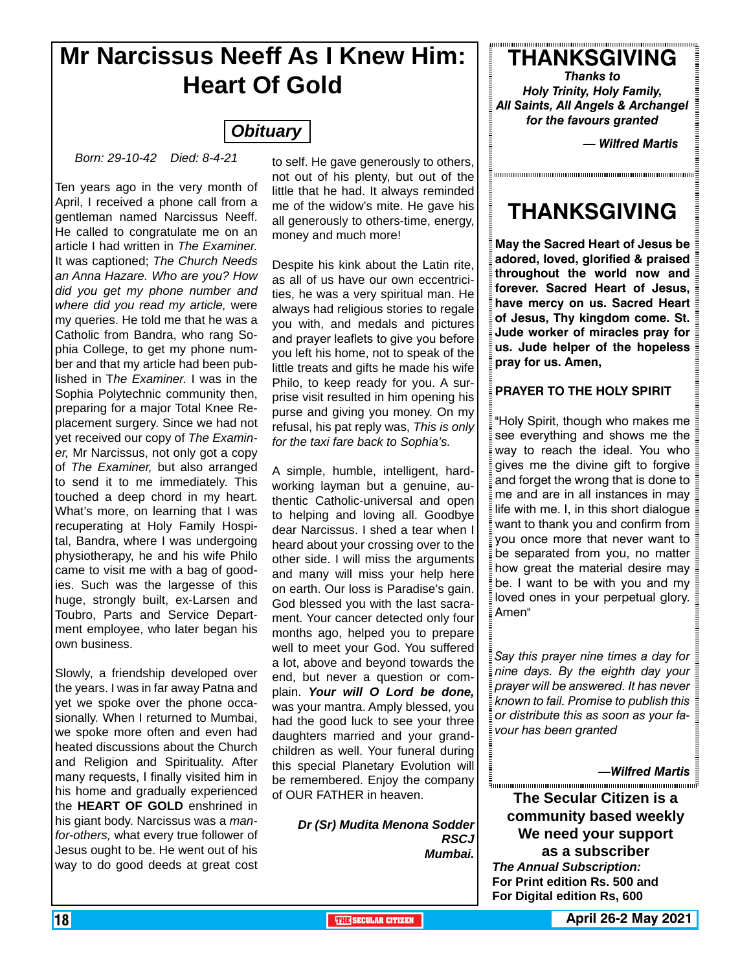### **Mr Narcissus Neeff As I Knew Him: Heart Of Gold**

### *Obituary*

*Born: 29-10-42 Died: 8-4-21*

Ten years ago in the very month of April, I received a phone call from a gentleman named Narcissus Neeff. He called to congratulate me on an article I had written in *The Examiner.* It was captioned; *The Church Needs an Anna Hazare. Who are you? How did you get my phone number and where did you read my article,* were my queries. He told me that he was a Catholic from Bandra, who rang Sophia College, to get my phone number and that my article had been published in T*he Examiner.* I was in the Sophia Polytechnic community then, preparing for a major Total Knee Replacement surgery. Since we had not yet received our copy of *The Examiner,* Mr Narcissus, not only got a copy of *The Examiner,* but also arranged to send it to me immediately. This touched a deep chord in my heart. What's more, on learning that I was recuperating at Holy Family Hospital, Bandra, where I was undergoing physiotherapy, he and his wife Philo came to visit me with a bag of goodies. Such was the largesse of this huge, strongly built, ex-Larsen and Toubro, Parts and Service Department employee, who later began his own business.

Slowly, a friendship developed over the years. I was in far away Patna and yet we spoke over the phone occasionally. When I returned to Mumbai, we spoke more often and even had heated discussions about the Church and Religion and Spirituality. After many requests, I finally visited him in his home and gradually experienced the **HEART OF GOLD** enshrined in his giant body. Narcissus was a *manfor-others,* what every true follower of Jesus ought to be. He went out of his way to do good deeds at great cost

to self. He gave generously to others, not out of his plenty, but out of the little that he had. It always reminded me of the widow's mite. He gave his all generously to others-time, energy, money and much more!

Despite his kink about the Latin rite, as all of us have our own eccentricities, he was a very spiritual man. He always had religious stories to regale you with, and medals and pictures and prayer leaflets to give you before you left his home, not to speak of the little treats and gifts he made his wife Philo, to keep ready for you. A surprise visit resulted in him opening his purse and giving you money. On my refusal, his pat reply was, *This is only for the taxi fare back to Sophia's.*

A simple, humble, intelligent, hardworking layman but a genuine, authentic Catholic-universal and open to helping and loving all. Goodbye dear Narcissus. I shed a tear when I heard about your crossing over to the other side. I will miss the arguments and many will miss your help here on earth. Our loss is Paradise's gain. God blessed you with the last sacrament. Your cancer detected only four months ago, helped you to prepare well to meet your God. You suffered a lot, above and beyond towards the end, but never a question or complain. *Your will O Lord be done,* was your mantra. Amply blessed, you had the good luck to see your three daughters married and your grandchildren as well. Your funeral during this special Planetary Evolution will be remembered. Enjoy the company of OUR FATHER in heaven.

> *Dr (Sr) Mudita Menona Sodder RSCJ Mumbai.*

**THANKSGIVING** *Thanks to*

*Holy Trinity, Holy Family, All Saints, All Angels & Archangel for the favours granted*

*— Wilfred Martis*

,,,,,,,,,,,,,,,,,,,,,,,,,,,,

### **THANKSGIVING**

**May the Sacred Heart of Jesus be adored, loved, glorified & praised throughout the world now and forever. Sacred Heart of Jesus, have mercy on us. Sacred Heart of Jesus, Thy kingdom come. St. Jude worker of miracles pray for us. Jude helper of the hopeless pray for us. Amen,**

#### **PRAYER TO THE HOLY SPIRIT**

"Holy Spirit, though who makes me see everything and shows me the way to reach the ideal. You who gives me the divine gift to forgive and forget the wrong that is done to me and are in all instances in may life with me. I, in this short dialogue want to thank you and confirm from you once more that never want to be separated from you, no matter how great the material desire may be. I want to be with you and my loved ones in your perpetual glory. Amen"

*Say this prayer nine times a day for nine days. By the eighth day your prayer will be answered. It has never known to fail. Promise to publish this or distribute this as soon as your favour has been granted* 

*—Wilfred Martis*

**The Secular Citizen is a community based weekly We need your support as a subscriber** *The Annual Subscription:* **For Print edition Rs. 500 and For Digital edition Rs, 600**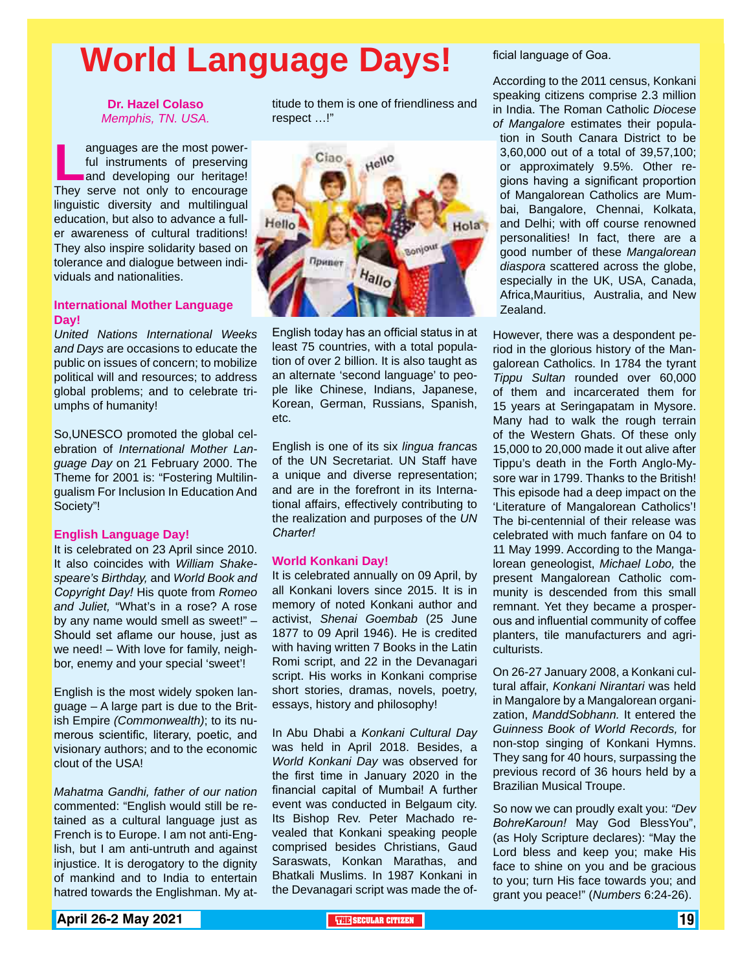# **World Language Days!**

#### **Dr. Hazel Colaso** *Memphis, TN. USA.*

**Languages are the most power-<br>
ful instruments of preserving<br>
and developing our heritage!<br>
They serve not only to encourage** ful instruments of preserving and developing our heritage! They serve not only to encourage linguistic diversity and multilingual education, but also to advance a fuller awareness of cultural traditions! They also inspire solidarity based on tolerance and dialogue between individuals and nationalities.

#### **International Mother Language Day!**

*United Nations International Weeks and Days* are occasions to educate the public on issues of concern; to mobilize political will and resources; to address global problems; and to celebrate triumphs of humanity!

So,UNESCO promoted the global celebration of *International Mother Language Day* on 21 February 2000. The Theme for 2001 is: "Fostering Multilingualism For Inclusion In Education And Society"!

#### **English Language Day!**

It is celebrated on 23 April since 2010. It also coincides with *William Shakespeare's Birthday,* and *World Book and Copyright Day!* His quote from *Romeo and Juliet,* "What's in a rose? A rose by any name would smell as sweet!" – Should set aflame our house, just as we need! – With love for family, neighbor, enemy and your special 'sweet'!

English is the most widely spoken lanquage  $-$  A large part is due to the British Empire *(Commonwealth)*; to its numerous scientific, literary, poetic, and visionary authors; and to the economic clout of the USA!

*Mahatma Gandhi, father of our nation* commented: "English would still be retained as a cultural language just as French is to Europe. I am not anti-English, but I am anti-untruth and against injustice. It is derogatory to the dignity of mankind and to India to entertain hatred towards the Englishman. My attitude to them is one of friendliness and respect …!"



English today has an official status in at least 75 countries, with a total population of over 2 billion. It is also taught as an alternate 'second language' to people like Chinese, Indians, Japanese, Korean, German, Russians, Spanish, etc.

English is one of its six *lingua franca*s of the UN Secretariat. UN Staff have a unique and diverse representation; and are in the forefront in its International affairs, effectively contributing to the realization and purposes of the *UN Charter!*

#### **World Konkani Day!**

It is celebrated annually on 09 April, by all Konkani lovers since 2015. It is in memory of noted Konkani author and activist, *Shenai Goembab* (25 June 1877 to 09 April 1946). He is credited with having written 7 Books in the Latin Romi script, and 22 in the Devanagari script. His works in Konkani comprise short stories, dramas, novels, poetry, essays, history and philosophy!

In Abu Dhabi a *Konkani Cultural Day* was held in April 2018. Besides, a *World Konkani Day* was observed for the first time in January 2020 in the financial capital of Mumbai! A further event was conducted in Belgaum city. Its Bishop Rev. Peter Machado revealed that Konkani speaking people comprised besides Christians, Gaud Saraswats, Konkan Marathas, and Bhatkali Muslims. In 1987 Konkani in the Devanagari script was made the of-

#### ficial language of Goa.

According to the 2011 census, Konkani speaking citizens comprise 2.3 million in India. The Roman Catholic *Diocese of Mangalore* estimates their population in South Canara District to be 3,60,000 out of a total of 39,57,100; or approximately 9.5%. Other regions having a significant proportion of Mangalorean Catholics are Mumbai, Bangalore, Chennai, Kolkata, and Delhi; with off course renowned personalities! In fact, there are a good number of these *Mangalorean diaspora* scattered across the globe, especially in the UK, USA, Canada, Africa,Mauritius, Australia, and New Zealand.

However, there was a despondent period in the glorious history of the Mangalorean Catholics. In 1784 the tyrant *Tippu Sultan* rounded over 60,000 of them and incarcerated them for 15 years at Seringapatam in Mysore. Many had to walk the rough terrain of the Western Ghats. Of these only 15,000 to 20,000 made it out alive after Tippu's death in the Forth Anglo-Mysore war in 1799. Thanks to the British! This episode had a deep impact on the 'Literature of Mangalorean Catholics'! The bi-centennial of their release was celebrated with much fanfare on 04 to 11 May 1999. According to the Mangalorean geneologist, *Michael Lobo,* the present Mangalorean Catholic community is descended from this small remnant. Yet they became a prosperous and influential community of coffee planters, tile manufacturers and agriculturists.

On 26-27 January 2008, a Konkani cultural affair, *Konkani Nirantari* was held in Mangalore by a Mangalorean organization, *ManddSobhann.* It entered the *Guinness Book of World Records,* for non-stop singing of Konkani Hymns. They sang for 40 hours, surpassing the previous record of 36 hours held by a Brazilian Musical Troupe.

So now we can proudly exalt you: *"Dev BohreKaroun!* May God BlessYou", (as Holy Scripture declares): "May the Lord bless and keep you; make His face to shine on you and be gracious to you; turn His face towards you; and grant you peace!" (*Numbers* 6:24-26).